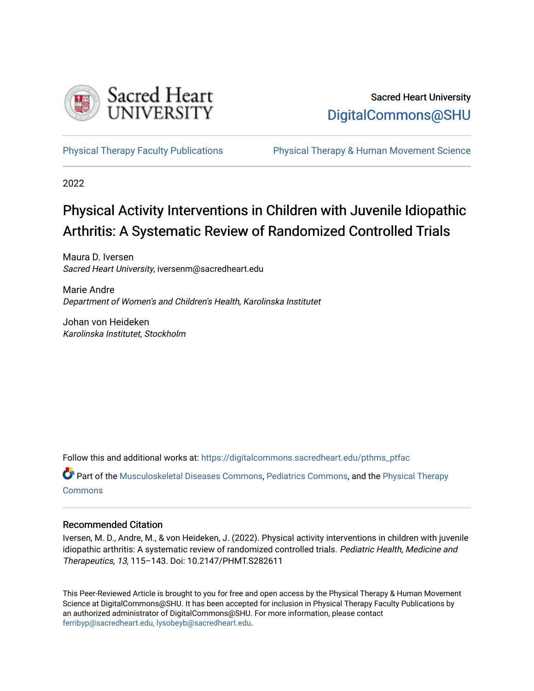

# Sacred Heart University [DigitalCommons@SHU](https://digitalcommons.sacredheart.edu/)

[Physical Therapy Faculty Publications](https://digitalcommons.sacredheart.edu/pthms_ptfac) [Physical Therapy & Human Movement Science](https://digitalcommons.sacredheart.edu/pthms) 

2022

# Physical Activity Interventions in Children with Juvenile Idiopathic Arthritis: A Systematic Review of Randomized Controlled Trials

Maura D. Iversen Sacred Heart University, iversenm@sacredheart.edu

Marie Andre Department of Women's and Children's Health, Karolinska Institutet

Johan von Heideken Karolinska Institutet, Stockholm

Follow this and additional works at: [https://digitalcommons.sacredheart.edu/pthms\\_ptfac](https://digitalcommons.sacredheart.edu/pthms_ptfac?utm_source=digitalcommons.sacredheart.edu%2Fpthms_ptfac%2F65&utm_medium=PDF&utm_campaign=PDFCoverPages)

Part of the [Musculoskeletal Diseases Commons](http://network.bepress.com/hgg/discipline/996?utm_source=digitalcommons.sacredheart.edu%2Fpthms_ptfac%2F65&utm_medium=PDF&utm_campaign=PDFCoverPages), [Pediatrics Commons,](http://network.bepress.com/hgg/discipline/700?utm_source=digitalcommons.sacredheart.edu%2Fpthms_ptfac%2F65&utm_medium=PDF&utm_campaign=PDFCoverPages) and the [Physical Therapy](http://network.bepress.com/hgg/discipline/754?utm_source=digitalcommons.sacredheart.edu%2Fpthms_ptfac%2F65&utm_medium=PDF&utm_campaign=PDFCoverPages) **[Commons](http://network.bepress.com/hgg/discipline/754?utm_source=digitalcommons.sacredheart.edu%2Fpthms_ptfac%2F65&utm_medium=PDF&utm_campaign=PDFCoverPages)** 

#### Recommended Citation

Iversen, M. D., Andre, M., & von Heideken, J. (2022). Physical activity interventions in children with juvenile idiopathic arthritis: A systematic review of randomized controlled trials. Pediatric Health, Medicine and Therapeutics, 13, 115–143. Doi: 10.2147/PHMT.S282611

This Peer-Reviewed Article is brought to you for free and open access by the Physical Therapy & Human Movement Science at DigitalCommons@SHU. It has been accepted for inclusion in Physical Therapy Faculty Publications by an authorized administrator of DigitalCommons@SHU. For more information, please contact [ferribyp@sacredheart.edu, lysobeyb@sacredheart.edu.](mailto:ferribyp@sacredheart.edu,%20lysobeyb@sacredheart.edu)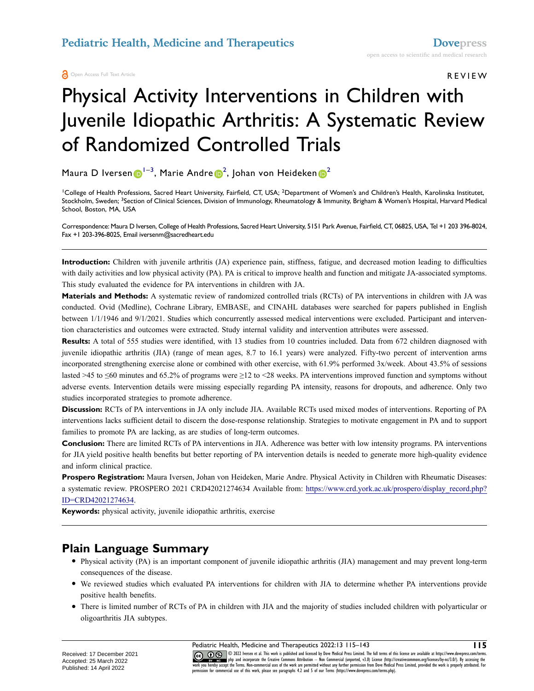Open Access Full Text Article

REVIEW

# Physical Activity Interventions in Children with Juvenile Idiopathic Arthritis: A Systematic Review of Randomized Controlled Trials

Maura D Iversen $\boldsymbol{0}^{1-3}$  $\boldsymbol{0}^{1-3}$  $\boldsymbol{0}^{1-3}$ , Marie Andre $\boldsymbol{0}^2$  $\boldsymbol{0}^2$ , Johan von Heideken $\boldsymbol{0}^2$ 

<span id="page-1-1"></span><span id="page-1-0"></span><sup>1</sup>College of Health Professions, Sacred Heart University, Fairfield, CT, USA; <sup>2</sup>Department of Women's and Children's Health, Karolinska Institutet, Stockholm, Sweden; <sup>3</sup>Section of Clinical Sciences, Division of Immunology, Rheumatology & Immunity, Brigham & Women's Hospital, Harvard Medical School, Boston, MA, USA

Correspondence: Maura D Iversen, College of Health Professions, Sacred Heart University, 5151 Park Avenue, Fairfield, CT, 06825, USA, Tel +1 203 396-8024, Fax +1 203-396-8025, Email iversenm@sacredheart.edu

**Introduction:** Children with juvenile arthritis (JA) experience pain, stiffness, fatigue, and decreased motion leading to difficulties with daily activities and low physical activity (PA). PA is critical to improve health and function and mitigate JA-associated symptoms. This study evaluated the evidence for PA interventions in children with JA.

**Materials and Methods:** A systematic review of randomized controlled trials (RCTs) of PA interventions in children with JA was conducted. Ovid (Medline), Cochrane Library, EMBASE, and CINAHL databases were searched for papers published in English between 1/1/1946 and 9/1/2021. Studies which concurrently assessed medical interventions were excluded. Participant and intervention characteristics and outcomes were extracted. Study internal validity and intervention attributes were assessed.

**Results:** A total of 555 studies were identified, with 13 studies from 10 countries included. Data from 672 children diagnosed with juvenile idiopathic arthritis (JIA) (range of mean ages, 8.7 to 16.1 years) were analyzed. Fifty-two percent of intervention arms incorporated strengthening exercise alone or combined with other exercise, with 61.9% performed 3x/week. About 43.5% of sessions lasted >45 to ≤60 minutes and 65.2% of programs were ≥12 to <28 weeks. PA interventions improved function and symptoms without adverse events. Intervention details were missing especially regarding PA intensity, reasons for dropouts, and adherence. Only two studies incorporated strategies to promote adherence.

**Discussion:** RCTs of PA interventions in JA only include JIA. Available RCTs used mixed modes of interventions. Reporting of PA interventions lacks sufficient detail to discern the dose-response relationship. Strategies to motivate engagement in PA and to support families to promote PA are lacking, as are studies of long-term outcomes.

**Conclusion:** There are limited RCTs of PA interventions in JIA. Adherence was better with low intensity programs. PA interventions for JIA yield positive health benefits but better reporting of PA intervention details is needed to generate more high-quality evidence and inform clinical practice.

**Prospero Registration:** Maura Iversen, Johan von Heideken, Marie Andre. Physical Activity in Children with Rheumatic Diseases: a systematic review. PROSPERO 2021 CRD42021274634 Available from: [https://www.crd.york.ac.uk/prospero/display\\_record.php?](https://www.crd.york.ac.uk/prospero/display_record.php?ID=CRD42021274634) [ID=CRD42021274634.](https://www.crd.york.ac.uk/prospero/display_record.php?ID=CRD42021274634)

**Keywords:** physical activity, juvenile idiopathic arthritis, exercise

### **Plain Language Summary**

- Physical activity (PA) is an important component of juvenile idiopathic arthritis (JIA) management and may prevent long-term consequences of the disease.
- We reviewed studies which evaluated PA interventions for children with JIA to determine whether PA interventions provide positive health benefits.
- There is limited number of RCTs of PA in children with JIA and the majority of studies included children with polyarticular or oligoarthritis JIA subtypes.

Pediatric Health, Medicine and Therapeutics 2022:13 115–143 **115**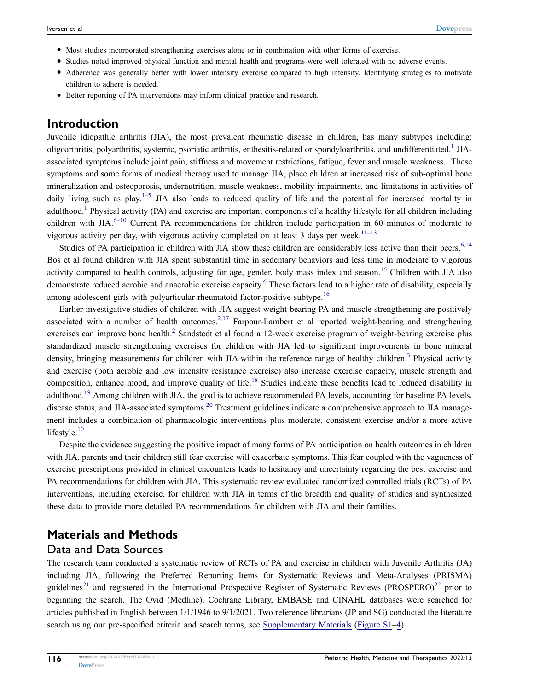- Most studies incorporated strengthening exercises alone or in combination with other forms of exercise.
- Studies noted improved physical function and mental health and programs were well tolerated with no adverse events.
- Adherence was generally better with lower intensity exercise compared to high intensity. Identifying strategies to motivate children to adhere is needed.
- Better reporting of PA interventions may inform clinical practice and research.

#### **Introduction**

Juvenile idiopathic arthritis (JIA), the most prevalent rheumatic disease in children, has many subtypes including: oligoarthritis, polyarthritis, systemic, psoriatic arthritis, enthesitis-related or spondyloarthritis, and undifferentiated.<sup>1</sup> JIA-associated symptoms include joint pain, stiffness and movement restrictions, fatigue, fever and muscle weakness.<sup>[1](#page-28-0)</sup> These symptoms and some forms of medical therapy used to manage JIA, place children at increased risk of sub-optimal bone mineralization and osteoporosis, undernutrition, muscle weakness, mobility impairments, and limitations in activities of daily living such as play.<sup>1–[5](#page-28-1)</sup> JIA also leads to reduced quality of life and the potential for increased mortality in adulthood.<sup>1</sup> Physical activity (PA) and exercise are important components of a healthy lifestyle for all children including children with JIA. $6-10$  $6-10$  Current PA recommendations for children include participation in 60 minutes of moderate to vigorous activity per day, with vigorous activity completed on at least 3 days per week.<sup>[11–](#page-28-4)[13](#page-28-5)</sup>

<span id="page-2-6"></span><span id="page-2-5"></span><span id="page-2-0"></span>Studies of PA participation in children with JIA show these children are considerably less active than their peers.<sup>6,[14](#page-28-6)</sup> Bos et al found children with JIA spent substantial time in sedentary behaviors and less time in moderate to vigorous activity compared to health controls, adjusting for age, gender, body mass index and season.<sup>15</sup> Children with JIA also demonstrate reduced aerobic and anaerobic exercise capacity.[6](#page-28-2) These factors lead to a higher rate of disability, especially among adolescent girls with polyarticular rheumatoid factor-positive subtype.<sup>[16](#page-28-8)</sup>

<span id="page-2-8"></span><span id="page-2-7"></span><span id="page-2-3"></span><span id="page-2-2"></span><span id="page-2-1"></span>Earlier investigative studies of children with JIA suggest weight-bearing PA and muscle strengthening are positively associated with a number of health outcomes.<sup>[2](#page-28-9)[,17](#page-28-10)</sup> Farpour-Lambert et al reported weight-bearing and strengthening exercises can improve bone health.<sup>2</sup> Sandstedt et al found a 12-week exercise program of weight-bearing exercise plus standardized muscle strengthening exercises for children with JIA led to significant improvements in bone mineral density, bringing measurements for children with JIA within the reference range of healthy children.<sup>[3](#page-28-11)</sup> Physical activity and exercise (both aerobic and low intensity resistance exercise) also increase exercise capacity, muscle strength and composition, enhance mood, and improve quality of life.<sup>18</sup> Studies indicate these benefits lead to reduced disability in adulthood.<sup>19</sup> Among children with JIA, the goal is to achieve recommended PA levels, accounting for baseline PA levels, disease status, and JIA-associated symptoms.<sup>20</sup> Treatment guidelines indicate a comprehensive approach to JIA management includes a combination of pharmacologic interventions plus moderate, consistent exercise and/or a more active lifestyle.<sup>[10](#page-28-3)</sup>

<span id="page-2-11"></span><span id="page-2-10"></span><span id="page-2-9"></span><span id="page-2-4"></span>Despite the evidence suggesting the positive impact of many forms of PA participation on health outcomes in children with JIA, parents and their children still fear exercise will exacerbate symptoms. This fear coupled with the vagueness of exercise prescriptions provided in clinical encounters leads to hesitancy and uncertainty regarding the best exercise and PA recommendations for children with JIA. This systematic review evaluated randomized controlled trials (RCTs) of PA interventions, including exercise, for children with JIA in terms of the breadth and quality of studies and synthesized these data to provide more detailed PA recommendations for children with JIA and their families.

### **Materials and Methods**

#### Data and Data Sources

<span id="page-2-12"></span>The research team conducted a systematic review of RCTs of PA and exercise in children with Juvenile Arthritis (JA) including JIA, following the Preferred Reporting Items for Systematic Reviews and Meta-Analyses (PRISMA) guidelines<sup>21</sup> and registered in the International Prospective Register of Systematic Reviews (PROSPERO)<sup>[22](#page-28-16)</sup> prior to beginning the search. The Ovid (Medline), Cochrane Library, EMBASE and CINAHL databases were searched for articles published in English between 1/1/1946 to 9/1/2021. Two reference librarians (JP and SG) conducted the literature search using our pre-specified criteria and search terms, see [Supplementary Materials](https://www.dovepress.com/get_supplementary_file.php?f=282611.docx) ([Figure S1–4\)](https://www.dovepress.com/get_supplementary_file.php?f=282611.docx).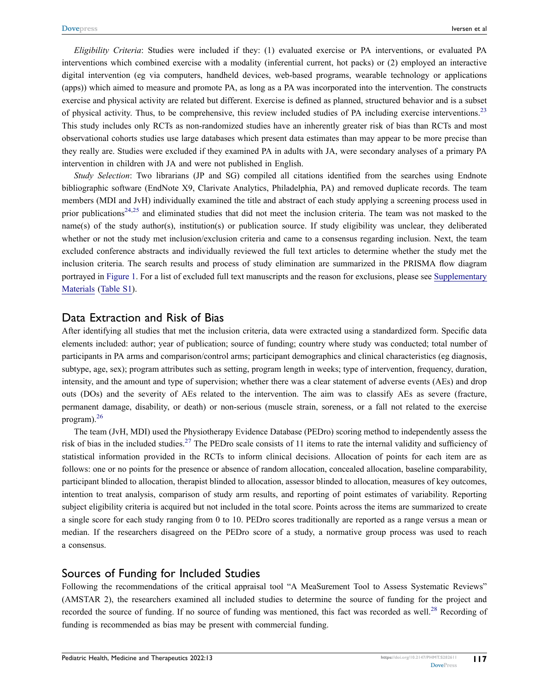<span id="page-3-0"></span>*Eligibility Criteria*: Studies were included if they: (1) evaluated exercise or PA interventions, or evaluated PA interventions which combined exercise with a modality (inferential current, hot packs) or (2) employed an interactive digital intervention (eg via computers, handheld devices, web-based programs, wearable technology or applications (apps)) which aimed to measure and promote PA, as long as a PA was incorporated into the intervention. The constructs exercise and physical activity are related but different. Exercise is defined as planned, structured behavior and is a subset of physical activity. Thus, to be comprehensive, this review included studies of PA including exercise interventions.<sup>[23](#page-28-17)</sup> This study includes only RCTs as non-randomized studies have an inherently greater risk of bias than RCTs and most observational cohorts studies use large databases which present data estimates than may appear to be more precise than they really are. Studies were excluded if they examined PA in adults with JA, were secondary analyses of a primary PA intervention in children with JA and were not published in English.

<span id="page-3-1"></span>*Study Selection*: Two librarians (JP and SG) compiled all citations identified from the searches using Endnote bibliographic software (EndNote X9, Clarivate Analytics, Philadelphia, PA) and removed duplicate records. The team members (MDI and JvH) individually examined the title and abstract of each study applying a screening process used in prior publications<sup>[24](#page-28-18)[,25](#page-28-19)</sup> and eliminated studies that did not meet the inclusion criteria. The team was not masked to the name(s) of the study author(s), institution(s) or publication source. If study eligibility was unclear, they deliberated whether or not the study met inclusion/exclusion criteria and came to a consensus regarding inclusion. Next, the team excluded conference abstracts and individually reviewed the full text articles to determine whether the study met the inclusion criteria. The search results and process of study elimination are summarized in the PRISMA flow diagram portrayed in [Figure 1.](#page-4-0) For a list of excluded full text manuscripts and the reason for exclusions, please see [Supplementary](https://www.dovepress.com/get_supplementary_file.php?f=282611.docx) [Materials](https://www.dovepress.com/get_supplementary_file.php?f=282611.docx) [\(Table S1](https://www.dovepress.com/get_supplementary_file.php?f=282611.docx)).

#### Data Extraction and Risk of Bias

After identifying all studies that met the inclusion criteria, data were extracted using a standardized form. Specific data elements included: author; year of publication; source of funding; country where study was conducted; total number of participants in PA arms and comparison/control arms; participant demographics and clinical characteristics (eg diagnosis, subtype, age, sex); program attributes such as setting, program length in weeks; type of intervention, frequency, duration, intensity, and the amount and type of supervision; whether there was a clear statement of adverse events (AEs) and drop outs (DOs) and the severity of AEs related to the intervention. The aim was to classify AEs as severe (fracture, permanent damage, disability, or death) or non-serious (muscle strain, soreness, or a fall not related to the exercise program).[26](#page-29-0)

<span id="page-3-3"></span><span id="page-3-2"></span>The team (JvH, MDI) used the Physiotherapy Evidence Database (PEDro) scoring method to independently assess the risk of bias in the included studies.<sup>[27](#page-29-1)</sup> The PEDro scale consists of 11 items to rate the internal validity and sufficiency of statistical information provided in the RCTs to inform clinical decisions. Allocation of points for each item are as follows: one or no points for the presence or absence of random allocation, concealed allocation, baseline comparability, participant blinded to allocation, therapist blinded to allocation, assessor blinded to allocation, measures of key outcomes, intention to treat analysis, comparison of study arm results, and reporting of point estimates of variability. Reporting subject eligibility criteria is acquired but not included in the total score. Points across the items are summarized to create a single score for each study ranging from 0 to 10. PEDro scores traditionally are reported as a range versus a mean or median. If the researchers disagreed on the PEDro score of a study, a normative group process was used to reach a consensus.

#### Sources of Funding for Included Studies

<span id="page-3-4"></span>Following the recommendations of the critical appraisal tool "A MeaSurement Tool to Assess Systematic Reviews" (AMSTAR 2), the researchers examined all included studies to determine the source of funding for the project and recorded the source of funding. If no source of funding was mentioned, this fact was recorded as well.<sup>[28](#page-29-2)</sup> Recording of funding is recommended as bias may be present with commercial funding.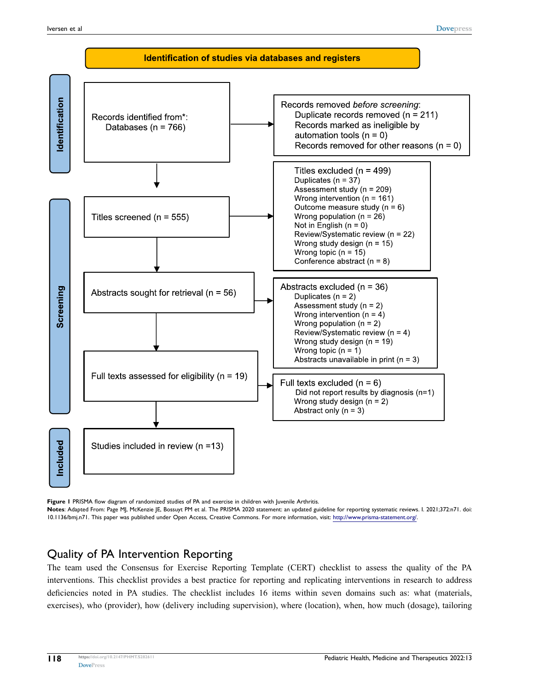<span id="page-4-0"></span>

**Figure 1** PRISMA flow diagram of randomized studies of PA and exercise in children with Juvenile Arthritis.

**Notes**: Adapted From: Page MJ, McKenzie JE, Bossuyt PM et al. The PRISMA 2020 statement: an updated guideline for reporting systematic reviews. I. 2021;372:n71. doi: 10.1136/bmj.n71. This paper was published under Open Access, Creative Commons. For more information, visit: [http://www.prisma-statement.org/.](http://www.prisma-statement.org/)

#### Quality of PA Intervention Reporting

The team used the Consensus for Exercise Reporting Template (CERT) checklist to assess the quality of the PA interventions. This checklist provides a best practice for reporting and replicating interventions in research to address deficiencies noted in PA studies. The checklist includes 16 items within seven domains such as: what (materials, exercises), who (provider), how (delivery including supervision), where (location), when, how much (dosage), tailoring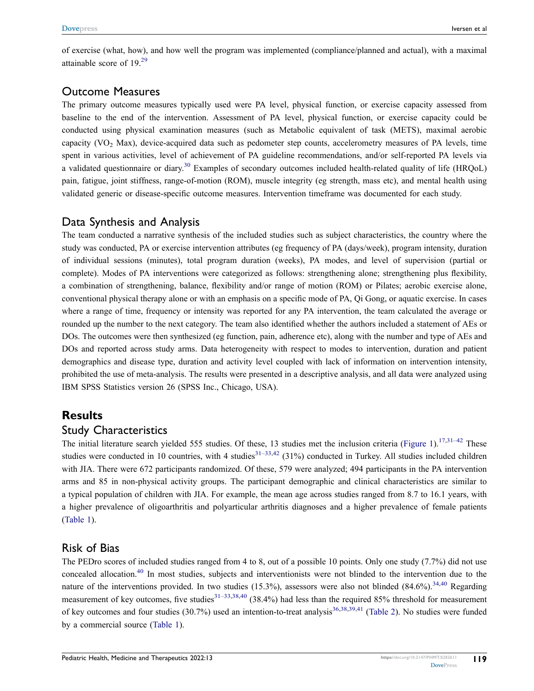<span id="page-5-0"></span>of exercise (what, how), and how well the program was implemented (compliance/planned and actual), with a maximal attainable score of 19.[29](#page-29-3)

#### Outcome Measures

The primary outcome measures typically used were PA level, physical function, or exercise capacity assessed from baseline to the end of the intervention. Assessment of PA level, physical function, or exercise capacity could be conducted using physical examination measures (such as Metabolic equivalent of task (METS), maximal aerobic capacity (VO<sub>2</sub> Max), device-acquired data such as pedometer step counts, accelerometry measures of PA levels, time spent in various activities, level of achievement of PA guideline recommendations, and/or self-reported PA levels via a validated questionnaire or diary.<sup>[30](#page-29-4)</sup> Examples of secondary outcomes included health-related quality of life (HRQoL) pain, fatigue, joint stiffness, range-of-motion (ROM), muscle integrity (eg strength, mass etc), and mental health using validated generic or disease-specific outcome measures. Intervention timeframe was documented for each study.

#### <span id="page-5-1"></span>Data Synthesis and Analysis

The team conducted a narrative synthesis of the included studies such as subject characteristics, the country where the study was conducted, PA or exercise intervention attributes (eg frequency of PA (days/week), program intensity, duration of individual sessions (minutes), total program duration (weeks), PA modes, and level of supervision (partial or complete). Modes of PA interventions were categorized as follows: strengthening alone; strengthening plus flexibility, a combination of strengthening, balance, flexibility and/or range of motion (ROM) or Pilates; aerobic exercise alone, conventional physical therapy alone or with an emphasis on a specific mode of PA, Qi Gong, or aquatic exercise. In cases where a range of time, frequency or intensity was reported for any PA intervention, the team calculated the average or rounded up the number to the next category. The team also identified whether the authors included a statement of AEs or DOs. The outcomes were then synthesized (eg function, pain, adherence etc), along with the number and type of AEs and DOs and reported across study arms. Data heterogeneity with respect to modes to intervention, duration and patient demographics and disease type, duration and activity level coupled with lack of information on intervention intensity, prohibited the use of meta-analysis. The results were presented in a descriptive analysis, and all data were analyzed using IBM SPSS Statistics version 26 (SPSS Inc., Chicago, USA).

### **Results**

#### Study Characteristics

<span id="page-5-5"></span>The initial literature search yielded 555 studies. Of these, 13 studies met the inclusion criteria ([Figure 1](#page-4-0)).<sup>[17](#page-28-10)[,31–](#page-29-5)[42](#page-29-6)</sup> These studies were conducted in 10 countries, with 4 studies $31-33,42$  $31-33,42$  $31-33,42$  (31%) conducted in Turkey. All studies included children with JIA. There were 672 participants randomized. Of these, 579 were analyzed; 494 participants in the PA intervention arms and 85 in non-physical activity groups. The participant demographic and clinical characteristics are similar to a typical population of children with JIA. For example, the mean age across studies ranged from 8.7 to 16.1 years, with a higher prevalence of oligoarthritis and polyarticular arthritis diagnoses and a higher prevalence of female patients [\(Table 1\)](#page-6-0).

#### Risk of Bias

<span id="page-5-4"></span><span id="page-5-3"></span><span id="page-5-2"></span>The PEDro scores of included studies ranged from 4 to 8, out of a possible 10 points. Only one study (7.7%) did not use concealed allocation.<sup>40</sup> In most studies, subjects and interventionists were not blinded to the intervention due to the nature of the interventions provided. In two studies  $(15.3%)$ , assessors were also not blinded  $(84.6%)$ .<sup>34[,40](#page-29-8)</sup> Regarding measurement of key outcomes, five studies<sup>[31–](#page-29-5)[33](#page-29-7)[,38,](#page-29-10)[40](#page-29-8)</sup> (38.4%) had less than the required 85% threshold for measurement of key outcomes and four studies  $(30.7%)$  used an intention-to-treat analysis<sup>36,[38](#page-29-10)[,39,](#page-29-12)[41](#page-29-13)</sup> [\(Table 2](#page-13-0)). No studies were funded by a commercial source [\(Table 1\)](#page-6-0).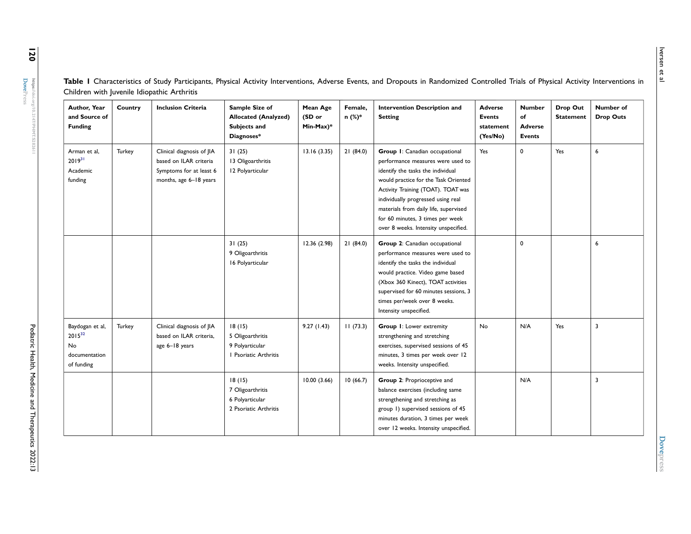| Φ        |
|----------|
| ທ່       |
| ወ        |
|          |
| <b>D</b> |
| е        |
| ىم       |
|          |
|          |

<span id="page-6-0"></span>Table I Characteristics of Study Participants, Physical Activity Interventions, Adverse Events, and Dropouts in Randomized Controlled Trials of Physical Activity Interventions in Children with Juvenile Idiopathic Arthritis

<span id="page-6-1"></span>

| Author, Year<br>and Source of<br><b>Funding</b>                      | Country | <b>Inclusion Criteria</b>                                                                                | Sample Size of<br><b>Allocated (Analyzed)</b><br>Subjects and<br>Diagnoses* | Mean Age<br>(SD or<br>Min-Max)* | Female,<br>n (%)* | Intervention Description and<br><b>Setting</b>                                                                                                                                                                                                                                                                                                    | <b>Adverse</b><br>Events<br>statement<br>(Yes/No) | <b>Number</b><br>of<br>Adverse<br><b>Events</b> | Drop Out<br><b>Statement</b> | Number of<br><b>Drop Outs</b> |
|----------------------------------------------------------------------|---------|----------------------------------------------------------------------------------------------------------|-----------------------------------------------------------------------------|---------------------------------|-------------------|---------------------------------------------------------------------------------------------------------------------------------------------------------------------------------------------------------------------------------------------------------------------------------------------------------------------------------------------------|---------------------------------------------------|-------------------------------------------------|------------------------------|-------------------------------|
| Arman et al,<br>$2019^{31}$<br>Academic<br>funding                   | Turkey  | Clinical diagnosis of JIA<br>based on ILAR criteria<br>Symptoms for at least 6<br>months, age 6-18 years | 31(25)<br>13 Oligoarthritis<br>12 Polyarticular                             | 13.16(3.35)                     | 21(84.0)          | Group I: Canadian occupational<br>performance measures were used to<br>identify the tasks the individual<br>would practice for the Task Oriented<br>Activity Training (TOAT). TOAT was<br>individually progressed using real<br>materials from daily life, supervised<br>for 60 minutes, 3 times per week<br>over 8 weeks. Intensity unspecified. | Yes                                               | $\mathbf 0$                                     | Yes                          | 6                             |
|                                                                      |         |                                                                                                          | 31(25)<br>9 Oligoarthritis<br>16 Polyarticular                              | 12.36 (2.98)                    | 21(84.0)          | Group 2: Canadian occupational<br>performance measures were used to<br>identify the tasks the individual<br>would practice. Video game based<br>(Xbox 360 Kinect), TOAT activities<br>supervised for 60 minutes sessions, 3<br>times per/week over 8 weeks.<br>Intensity unspecified.                                                             |                                                   | $\mathbf 0$                                     |                              | 6                             |
| Baydogan et al,<br>$2015^{32}$<br>No.<br>documentation<br>of funding | Turkey  | Clinical diagnosis of JIA<br>based on ILAR criteria,<br>age 6-18 years                                   | 18(15)<br>5 Oligoarthritis<br>9 Polyarticular<br>I Psoriatic Arthritis      | 9.27(1.43)                      | 11(73.3)          | <b>Group I:</b> Lower extremity<br>strengthening and stretching<br>exercises, supervised sessions of 45<br>minutes, 3 times per week over 12<br>weeks. Intensity unspecified.                                                                                                                                                                     | No                                                | N/A                                             | Yes                          | $\overline{\mathbf{3}}$       |
|                                                                      |         |                                                                                                          | 18(15)<br>7 Oligoarthritis<br>6 Polyarticular<br>2 Psoriatic Arthritis      | 10.00(3.66)                     | 10(66.7)          | Group 2: Proprioceptive and<br>balance exercises (including same<br>strengthening and stretching as<br>group 1) supervised sessions of 45<br>minutes duration, 3 times per week<br>over 12 weeks. Intensity unspecified.                                                                                                                          |                                                   | N/A                                             |                              | $\overline{\mathbf{3}}$       |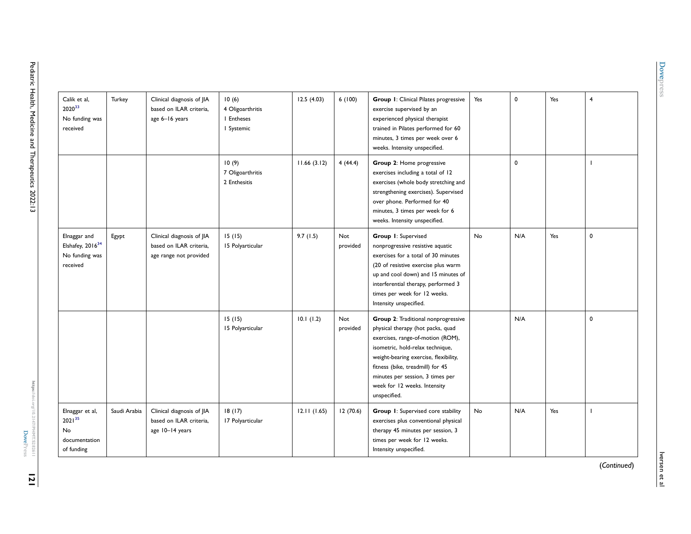| Calik et al,<br>202033<br>No funding was<br>received                       | Turkey       | Clinical diagnosis of JIA<br>based on ILAR criteria,<br>age 6-16 years         | 10(6)<br>4 Oligoarthritis<br>I Entheses<br>I Systemic | 12.5(4.03)  | 6(100)                 | <b>Group I:</b> Clinical Pilates progressive<br>exercise supervised by an<br>experienced physical therapist<br>trained in Pilates performed for 60<br>minutes, 3 times per week over 6<br>weeks. Intensity unspecified.                                                                                            | Yes       | $\mathbf 0$ | Yes | 4 |
|----------------------------------------------------------------------------|--------------|--------------------------------------------------------------------------------|-------------------------------------------------------|-------------|------------------------|--------------------------------------------------------------------------------------------------------------------------------------------------------------------------------------------------------------------------------------------------------------------------------------------------------------------|-----------|-------------|-----|---|
|                                                                            |              |                                                                                | 10(9)<br>7 Oligoarthritis<br>2 Enthesitis             | 11.66(3.12) | 4(44.4)                | Group 2: Home progressive<br>exercises including a total of 12<br>exercises (whole body stretching and<br>strengthening exercises). Supervised<br>over phone. Performed for 40<br>minutes, 3 times per week for 6<br>weeks. Intensity unspecified.                                                                 |           | $\mathbf 0$ |     |   |
| Elnaggar and<br>Elshafey, 2016 <sup>34</sup><br>No funding was<br>received | Egypt        | Clinical diagnosis of JIA<br>based on ILAR criteria,<br>age range not provided | 15(15)<br>15 Polyarticular                            | 9.7(1.5)    | Not<br>provided        | Group 1: Supervised<br>nonprogressive resistive aquatic<br>exercises for a total of 30 minutes<br>(20 of resistive exercise plus warm<br>up and cool down) and 15 minutes of<br>interferential therapy, performed 3<br>times per week for 12 weeks.<br>Intensity unspecified.                                      | No        | N/A         | Yes | 0 |
|                                                                            |              |                                                                                | 15(15)<br>15 Polyarticular                            | 10.1(1.2)   | <b>Not</b><br>provided | Group 2: Traditional nonprogressive<br>physical therapy (hot packs, quad<br>exercises, range-of-motion (ROM),<br>isometric, hold-relax technique,<br>weight-bearing exercise, flexibility,<br>fitness (bike, treadmill) for 45<br>minutes per session, 3 times per<br>week for 12 weeks. Intensity<br>unspecified. |           | N/A         |     | 0 |
| Elnaggar et al,<br>$2021^{35}$<br><b>No</b><br>documentation<br>of funding | Saudi Arabia | Clinical diagnosis of JIA<br>based on ILAR criteria,<br>age 10-14 years        | 18(17)<br>17 Polyarticular                            | 12.11(1.65) | 12(70.6)               | Group I: Supervised core stability<br>exercises plus conventional physical<br>therapy 45 minutes per session, 3<br>times per week for 12 weeks.<br>Intensity unspecified.                                                                                                                                          | <b>No</b> | N/A         | Yes |   |

<span id="page-7-1"></span><span id="page-7-0"></span>Hep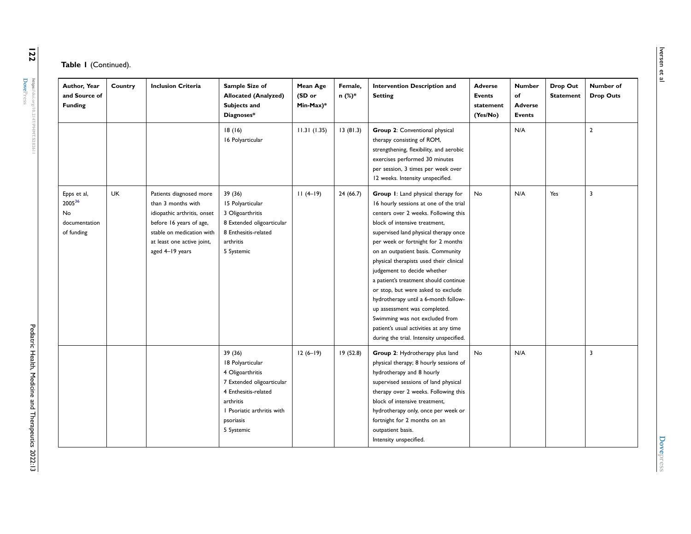| Author, Year<br>and Source of<br><b>Funding</b>            | Country   | <b>Inclusion Criteria</b>                                                                                                                                                             | Sample Size of<br><b>Allocated (Analyzed)</b><br>Subjects and<br>Diagnoses*                                                                                                | Mean Age<br>(SD or<br>Min-Max)* | Female,<br>n (%)* | <b>Intervention Description and</b><br><b>Setting</b>                                                                                                                                                                                                                                                                                                                                                                                                                                                                                                                                                                              | <b>Adverse</b><br><b>Events</b><br>statement<br>(Yes/No) | <b>Number</b><br>of<br><b>Adverse</b><br><b>Events</b> | Drop Out<br><b>Statement</b> | Number of<br><b>Drop Outs</b> |
|------------------------------------------------------------|-----------|---------------------------------------------------------------------------------------------------------------------------------------------------------------------------------------|----------------------------------------------------------------------------------------------------------------------------------------------------------------------------|---------------------------------|-------------------|------------------------------------------------------------------------------------------------------------------------------------------------------------------------------------------------------------------------------------------------------------------------------------------------------------------------------------------------------------------------------------------------------------------------------------------------------------------------------------------------------------------------------------------------------------------------------------------------------------------------------------|----------------------------------------------------------|--------------------------------------------------------|------------------------------|-------------------------------|
|                                                            |           |                                                                                                                                                                                       | 18(16)<br>16 Polyarticular                                                                                                                                                 | 11.31(1.35)                     | 13(81.3)          | Group 2: Conventional physical<br>therapy consisting of ROM,<br>strengthening, flexibility, and aerobic<br>exercises performed 30 minutes<br>per session, 3 times per week over<br>12 weeks. Intensity unspecified.                                                                                                                                                                                                                                                                                                                                                                                                                |                                                          | N/A                                                    |                              | $\overline{2}$                |
| Epps et al,<br>200536<br>No<br>documentation<br>of funding | <b>UK</b> | Patients diagnosed more<br>than 3 months with<br>idiopathic arthritis, onset<br>before 16 years of age,<br>stable on medication with<br>at least one active joint,<br>aged 4-19 years | 39 (36)<br>15 Polyarticular<br>3 Oligoarthritis<br>8 Extended oligoarticular<br>8 Enthesitis-related<br>arthritis<br>5 Systemic                                            | $11(4-19)$                      | 24(66.7)          | Group I: Land physical therapy for<br>16 hourly sessions at one of the trial<br>centers over 2 weeks. Following this<br>block of intensive treatment,<br>supervised land physical therapy once<br>per week or fortnight for 2 months<br>on an outpatient basis. Community<br>physical therapists used their clinical<br>judgement to decide whether<br>a patient's treatment should continue<br>or stop, but were asked to exclude<br>hydrotherapy until a 6-month follow-<br>up assessment was completed.<br>Swimming was not excluded from<br>patient's usual activities at any time<br>during the trial. Intensity unspecified. | No                                                       | N/A                                                    | Yes                          | 3                             |
|                                                            |           |                                                                                                                                                                                       | 39 (36)<br>18 Polyarticular<br>4 Oligoarthritis<br>7 Extended oligoarticular<br>4 Enthesitis-related<br>arthritis<br>I Psoriatic arthritis with<br>psoriasis<br>5 Systemic | $12(6-19)$                      | 19(52.8)          | Group 2: Hydrotherapy plus land<br>physical therapy; 8 hourly sessions of<br>hydrotherapy and 8 hourly<br>supervised sessions of land physical<br>therapy over 2 weeks. Following this<br>block of intensive treatment,<br>hydrotherapy only, once per week or<br>fortnight for 2 months on an<br>outpatient basis.<br>Intensity unspecified.                                                                                                                                                                                                                                                                                      | No                                                       | N/A                                                    |                              | 3                             |

 $\overline{122}$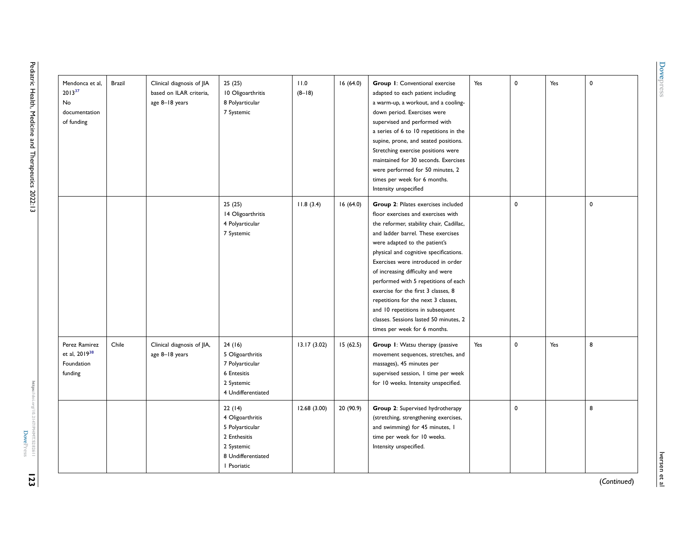<span id="page-9-0"></span>

| Mendonca et al,<br>$2013^{37}$<br>No<br>documentation<br>of funding | <b>Brazil</b> | Clinical diagnosis of JIA<br>based on ILAR criteria,<br>age 8-18 years | 25(25)<br>10 Oligoarthritis<br>8 Polyarticular<br>7 Systemic                                                     | 11.0<br>$(8-18)$ | 16(64.0)  | Group 1: Conventional exercise<br>adapted to each patient including<br>a warm-up, a workout, and a cooling-<br>down period. Exercises were<br>supervised and performed with<br>a series of 6 to 10 repetitions in the<br>supine, prone, and seated positions.<br>Stretching exercise positions were<br>maintained for 30 seconds. Exercises<br>were performed for 50 minutes, 2<br>times per week for 6 months.<br>Intensity unspecified                                                                                                              | Yes | $\mathbf 0$ | Yes | $\mathbf 0$ |
|---------------------------------------------------------------------|---------------|------------------------------------------------------------------------|------------------------------------------------------------------------------------------------------------------|------------------|-----------|-------------------------------------------------------------------------------------------------------------------------------------------------------------------------------------------------------------------------------------------------------------------------------------------------------------------------------------------------------------------------------------------------------------------------------------------------------------------------------------------------------------------------------------------------------|-----|-------------|-----|-------------|
|                                                                     |               |                                                                        | 25(25)<br>14 Oligoarthritis<br>4 Polyarticular<br>7 Systemic                                                     | 11.8(3.4)        | 16(64.0)  | Group 2: Pilates exercises included<br>floor exercises and exercises with<br>the reformer, stability chair, Cadillac,<br>and ladder barrel. These exercises<br>were adapted to the patient's<br>physical and cognitive specifications.<br>Exercises were introduced in order<br>of increasing difficulty and were<br>performed with 5 repetitions of each<br>exercise for the first 3 classes, 8<br>repetitions for the next 3 classes,<br>and 10 repetitions in subsequent<br>classes. Sessions lasted 50 minutes, 2<br>times per week for 6 months. |     | $\pmb{0}$   |     | $\mathbf 0$ |
| Perez Ramirez<br>et al. 2019 <sup>38</sup><br>Foundation<br>funding | Chile         | Clinical diagnosis of JIA,<br>age 8-18 years                           | 24(16)<br>5 Oligoarthritis<br>7 Polyarticular<br>6 Entesitis<br>2 Systemic<br>4 Undifferentiated                 | 13.17(3.02)      | 15(62.5)  | Group I: Watsu therapy (passive<br>movement sequences, stretches, and<br>massages), 45 minutes per<br>supervised session, I time per week<br>for 10 weeks. Intensity unspecified.                                                                                                                                                                                                                                                                                                                                                                     | Yes | $\mathbf 0$ | Yes | 8           |
|                                                                     |               |                                                                        | 22(14)<br>4 Oligoarthritis<br>5 Polyarticular<br>2 Enthesitis<br>2 Systemic<br>8 Undifferentiated<br>I Psoriatic | 12.68(3.00)      | 20 (90.9) | Group 2: Supervised hydrotherapy<br>(stretching, strengthening exercises,<br>and swimming) for 45 minutes, I<br>time per week for 10 weeks.<br>Intensity unspecified.                                                                                                                                                                                                                                                                                                                                                                                 |     | $\mathbf 0$ |     | 8           |

(*Continued*)

Iversen et al

Iversen et al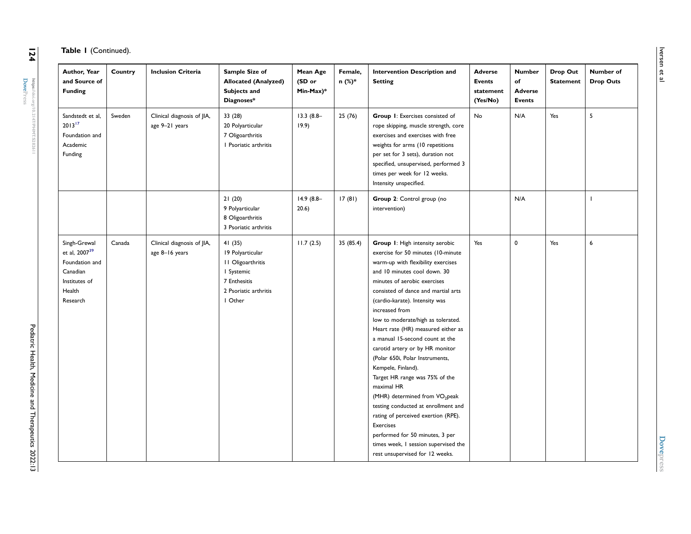| Table I (Continued). |  |
|----------------------|--|
|                      |  |

| Author, Year<br>and Source of<br><b>Funding</b>                                                                | Country | <b>Inclusion Criteria</b>                    | Sample Size of<br><b>Allocated (Analyzed)</b><br>Subjects and<br>Diagnoses*                                       | Mean Age<br>(SD or<br>Min-Max)* | Female,<br>n (%)* | Intervention Description and<br><b>Setting</b>                                                                                                                                                                                                                                                                                                                                                                                                                                                                                                                                                                                                                                                                                                                                                  | <b>Adverse</b><br>Events<br>statement<br>(Yes/No) | <b>Number</b><br>of<br><b>Adverse</b><br><b>Events</b> | Drop Out<br><b>Statement</b> | Number of<br><b>Drop Outs</b> |
|----------------------------------------------------------------------------------------------------------------|---------|----------------------------------------------|-------------------------------------------------------------------------------------------------------------------|---------------------------------|-------------------|-------------------------------------------------------------------------------------------------------------------------------------------------------------------------------------------------------------------------------------------------------------------------------------------------------------------------------------------------------------------------------------------------------------------------------------------------------------------------------------------------------------------------------------------------------------------------------------------------------------------------------------------------------------------------------------------------------------------------------------------------------------------------------------------------|---------------------------------------------------|--------------------------------------------------------|------------------------------|-------------------------------|
| Sandstedt et al.<br>$2013^{17}$<br>Foundation and<br>Academic<br>Funding                                       | Sweden  | Clinical diagnosis of JIA,<br>age 9-21 years | 33(28)<br>20 Polyarticular<br>7 Oligoarthritis<br>I Psoriatic arthritis                                           | $13.3(8.8-$<br>19.9)            | 25(76)            | Group I: Exercises consisted of<br>rope skipping, muscle strength, core<br>exercises and exercises with free<br>weights for arms (10 repetitions<br>per set for 3 sets), duration not<br>specified, unsupervised, performed 3<br>times per week for 12 weeks.<br>Intensity unspecified.                                                                                                                                                                                                                                                                                                                                                                                                                                                                                                         | <b>No</b>                                         | N/A                                                    | Yes                          | 5                             |
|                                                                                                                |         |                                              | 21(20)<br>9 Polyarticular<br>8 Oligoarthritis<br>3 Psoriatic arthritis                                            | $14.9(8.8-$<br>20.6)            | 17(81)            | Group 2: Control group (no<br>intervention)                                                                                                                                                                                                                                                                                                                                                                                                                                                                                                                                                                                                                                                                                                                                                     |                                                   | N/A                                                    |                              |                               |
| Singh-Grewal<br>et al, 2007 <sup>39</sup><br>Foundation and<br>Canadian<br>Institutes of<br>Health<br>Research | Canada  | Clinical diagnosis of JIA,<br>age 8-16 years | 41(35)<br>19 Polyarticular<br>11 Oligoarthritis<br>I Systemic<br>7 Enthesitis<br>2 Psoriatic arthritis<br>  Other | 11.7(2.5)                       | 35 (85.4)         | Group I: High intensity aerobic<br>exercise for 50 minutes (10-minute<br>warm-up with flexibility exercises<br>and 10 minutes cool down. 30<br>minutes of aerobic exercises<br>consisted of dance and martial arts<br>(cardio-karate). Intensity was<br>increased from<br>low to moderate/high as tolerated.<br>Heart rate (HR) measured either as<br>a manual 15-second count at the<br>carotid artery or by HR monitor<br>(Polar 650i, Polar Instruments,<br>Kempele, Finland).<br>Target HR range was 75% of the<br>maximal HR<br>(MHR) determined from VO <sub>2</sub> peak<br>testing conducted at enrollment and<br>rating of perceived exertion (RPE).<br><b>Exercises</b><br>performed for 50 minutes, 3 per<br>times week, I session supervised the<br>rest unsupervised for 12 weeks. | Yes                                               | 0                                                      | Yes                          | 6                             |

**Dovepress [Dovepress](https://www.dovepress.com)**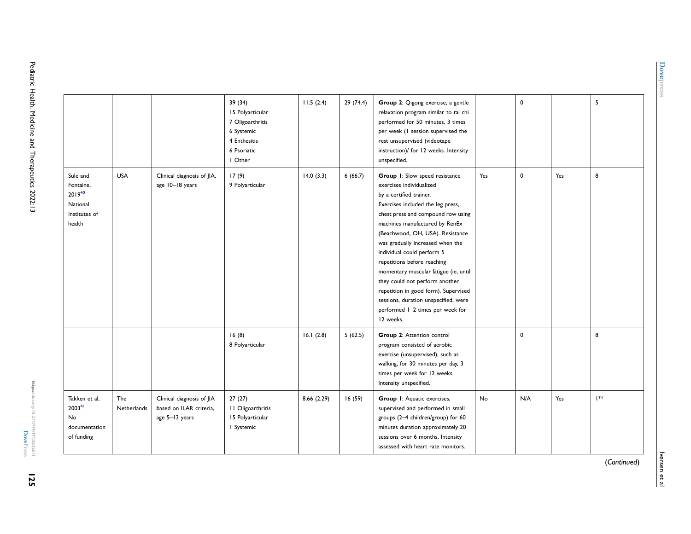|                                                                                 |                    |                                                                        | 39(34)<br>15 Polyarticular<br>7 Oligoarthritis<br>6 Systemic<br>4 Enthesitis<br>6 Psoriatic | 11.5(2.4)   | 29(74.4) | Group 2: Qigong exercise, a gentle<br>relaxation program similar to tai chi<br>performed for 50 minutes, 3 times<br>per week (I session supervised the<br>rest unsupervised (videotape<br>instruction)/ for 12 weeks. Intensity                                                                                                                                                                                                                                                                                                                                     |           | 0   |     | 5  |
|---------------------------------------------------------------------------------|--------------------|------------------------------------------------------------------------|---------------------------------------------------------------------------------------------|-------------|----------|---------------------------------------------------------------------------------------------------------------------------------------------------------------------------------------------------------------------------------------------------------------------------------------------------------------------------------------------------------------------------------------------------------------------------------------------------------------------------------------------------------------------------------------------------------------------|-----------|-----|-----|----|
| Sule and<br>Fontaine,<br>$2019^{40}$<br>National<br>Institutes of<br>health     | <b>USA</b>         | Clinical diagnosis of JIA,<br>age 10-18 years                          | I Other<br>17(9)<br>9 Polyarticular                                                         | 14.0(3.3)   | 6(66.7)  | unspecified.<br>Group I: Slow speed resistance<br>exercises individualized<br>by a certified trainer.<br>Exercises included the leg press,<br>chest press and compound row using<br>machines manufactured by RenEx<br>(Beachwood, OH, USA). Resistance<br>was gradually increased when the<br>individual could perform 5<br>repetitions before reaching<br>momentary muscular fatigue (ie, until<br>they could not perform another<br>repetition in good form). Supervised<br>sessions, duration unspecified, were<br>performed I-2 times per week for<br>12 weeks. | Yes       | 0   | Yes | 8  |
|                                                                                 |                    |                                                                        | 16(8)<br>8 Polyarticular                                                                    | 16.1(2.8)   | 5(62.5)  | Group 2: Attention control<br>program consisted of aerobic<br>exercise (unsupervised), such as<br>walking, for 30 minutes per day, 3<br>times per week for 12 weeks.<br>Intensity unspecified.                                                                                                                                                                                                                                                                                                                                                                      |           | 0   |     | 8  |
| Takken et al,<br>2003 <sup>41</sup><br><b>No</b><br>documentation<br>of funding | The<br>Netherlands | Clinical diagnosis of JIA<br>based on ILAR criteria.<br>age 5-13 years | 27(27)<br>II Oligoarthritis<br>15 Polyarticular<br>I Systemic                               | 8.66 (2.29) | 16(59)   | Group I: Aquatic exercises,<br>supervised and performed in small<br>groups (2-4 children/group) for 60<br>minutes duration approximately 20<br>sessions over 6 months. Intensity<br>assessed with heart rate monitors.                                                                                                                                                                                                                                                                                                                                              | <b>No</b> | N/A | Yes | ** |

**[Dovepress](https://www.dovepress.com)**

**Dovepress** 

**125**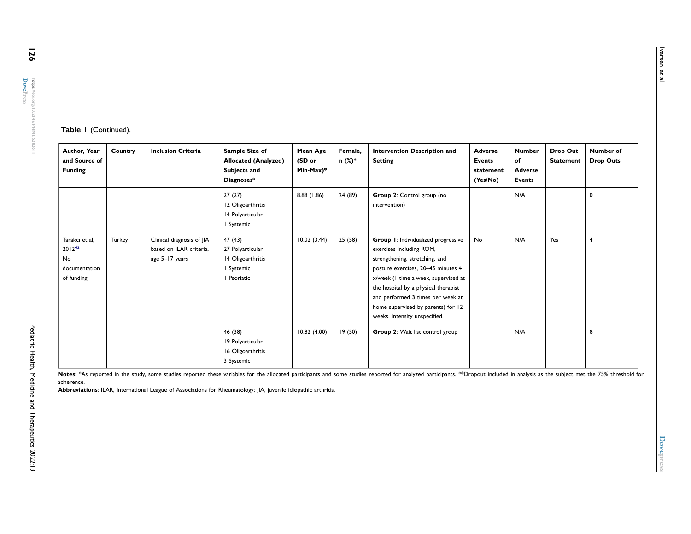<u>126</u>

#### **Table 1** (Continued).

| Author, Year<br>and Source of<br><b>Funding</b>                    | Country | <b>Inclusion Criteria</b>                                              | Sample Size of<br><b>Allocated (Analyzed)</b><br>Subjects and<br>Diagnoses* | Mean Age<br>(SD or<br>$Min-Max)*$ | Female,<br>n (%)* | Intervention Description and<br><b>Setting</b>                                                                                                                                                                                                                                                                                      | <b>Adverse</b><br><b>Events</b><br>statement<br>(Yes/No) | <b>Number</b><br>of<br><b>Adverse</b><br>Events | Drop Out<br><b>Statement</b> | Number of<br><b>Drop Outs</b> |
|--------------------------------------------------------------------|---------|------------------------------------------------------------------------|-----------------------------------------------------------------------------|-----------------------------------|-------------------|-------------------------------------------------------------------------------------------------------------------------------------------------------------------------------------------------------------------------------------------------------------------------------------------------------------------------------------|----------------------------------------------------------|-------------------------------------------------|------------------------------|-------------------------------|
|                                                                    |         |                                                                        | 27(27)<br>12 Oligoarthritis<br>14 Polyarticular<br>Systemic                 | 8.88 (1.86)                       | 24 (89)           | Group 2: Control group (no<br>intervention)                                                                                                                                                                                                                                                                                         |                                                          | N/A                                             |                              | $\mathbf{0}$                  |
| Tarakci et al,<br>$2012^{42}$<br>No<br>documentation<br>of funding | Turkey  | Clinical diagnosis of JIA<br>based on ILAR criteria.<br>age 5-17 years | 47 (43)<br>27 Polyarticular<br>14 Oligoarthritis<br>l Systemic<br>Psoriatic | 10.02(3.44)                       | 25 (58)           | Group 1: Individualized progressive<br>exercises including ROM,<br>strengthening, stretching, and<br>posture exercises, 20-45 minutes 4<br>x/week (I time a week, supervised at<br>the hospital by a physical therapist<br>and performed 3 times per week at<br>home supervised by parents) for 12<br>weeks. Intensity unspecified. | No                                                       | N/A                                             | Yes                          | 4                             |
|                                                                    |         |                                                                        | 46 (38)<br>19 Polyarticular<br>16 Oligoarthritis<br>3 Systemic              | 10.82(4.00)                       | 19(50)            | Group 2: Wait list control group                                                                                                                                                                                                                                                                                                    |                                                          | N/A                                             |                              | 8                             |

Notes: \*As reported in the study, some studies reported these variables for the allocated participants and some studies reported for analyzed participants. \*\*Dropout included in analysis as the subject met the 75% threshol adherence.

**Abbreviations**: ILAR, International League of Associations for Rheumatology; JIA, juvenile idiopathic arthritis.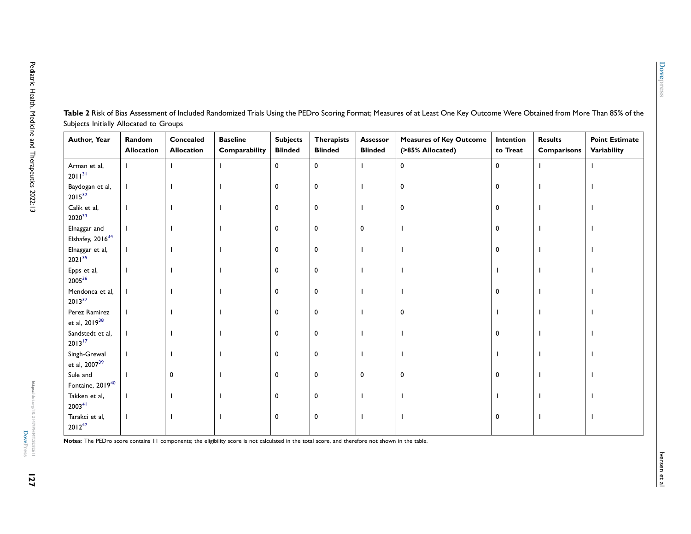| Author, Year                                 | Random<br><b>Allocation</b> | Concealed<br><b>Allocation</b> | <b>Baseline</b><br>Comparability | <b>Subjects</b><br><b>Blinded</b> | <b>Therapists</b><br><b>Blinded</b> | Assessor<br><b>Blinded</b> | <b>Measures of Key Outcome</b><br>(>85% Allocated) | Intention<br>to Treat | <b>Results</b><br>Comparisons | <b>Point Estimate</b><br>Variability |
|----------------------------------------------|-----------------------------|--------------------------------|----------------------------------|-----------------------------------|-------------------------------------|----------------------------|----------------------------------------------------|-----------------------|-------------------------------|--------------------------------------|
| Arman et al,<br>$2011^{31}$                  |                             |                                |                                  | $\mathbf 0$                       | 0                                   |                            | 0                                                  | 0                     |                               |                                      |
| Baydogan et al,<br>$2015^{32}$               |                             |                                |                                  | 0                                 | $\mathbf 0$                         |                            | 0                                                  | 0                     |                               |                                      |
| Calik et al,<br>$2020^{33}$                  |                             |                                |                                  | 0                                 | 0                                   |                            | 0                                                  | 0                     |                               |                                      |
| Elnaggar and<br>Elshafey, 2016 <sup>34</sup> |                             |                                |                                  | 0                                 | 0                                   | 0                          |                                                    | 0                     |                               |                                      |
| Elnaggar et al,<br>$2021^{35}$               |                             |                                |                                  | 0                                 | 0                                   |                            |                                                    | 0                     |                               |                                      |
| Epps et al,<br>$2005^{36}$                   |                             |                                |                                  | 0                                 | 0                                   |                            |                                                    |                       |                               |                                      |
| Mendonca et al,<br>$2013^{37}$               |                             |                                |                                  | 0                                 | 0                                   |                            |                                                    | 0                     |                               |                                      |
| Perez Ramirez<br>et al, 2019 <sup>38</sup>   |                             |                                |                                  | 0                                 | 0                                   |                            | 0                                                  |                       |                               |                                      |
| Sandstedt et al,<br>$2013^{17}$              |                             |                                |                                  | 0                                 | 0                                   |                            |                                                    | 0                     |                               |                                      |
| Singh-Grewal<br>et al, 2007 <sup>39</sup>    |                             |                                |                                  | 0                                 | 0                                   |                            |                                                    |                       |                               |                                      |
| Sule and<br>Fontaine, 201940                 |                             | 0                              |                                  | 0                                 | 0                                   | 0                          | 0                                                  | 0                     |                               |                                      |
| Takken et al,<br>2003 <sup>41</sup>          |                             |                                |                                  | 0                                 | 0                                   |                            |                                                    |                       |                               |                                      |
| Tarakci et al,<br>$2012^{42}$                |                             |                                |                                  | 0                                 | 0                                   |                            |                                                    | 0                     |                               |                                      |

<span id="page-13-0"></span>Table 2 Risk of Bias Assessment of Included Randomized Trials Using the PEDro Scoring Format; Measures of at Least One Key Outcome Were Obtained from More Than 85% of the Subjects Initially Allocated to Groups

**Notes**: The PEDro score contains 11 components; the eligibility score is not calculated in the total score, and therefore not shown in the table.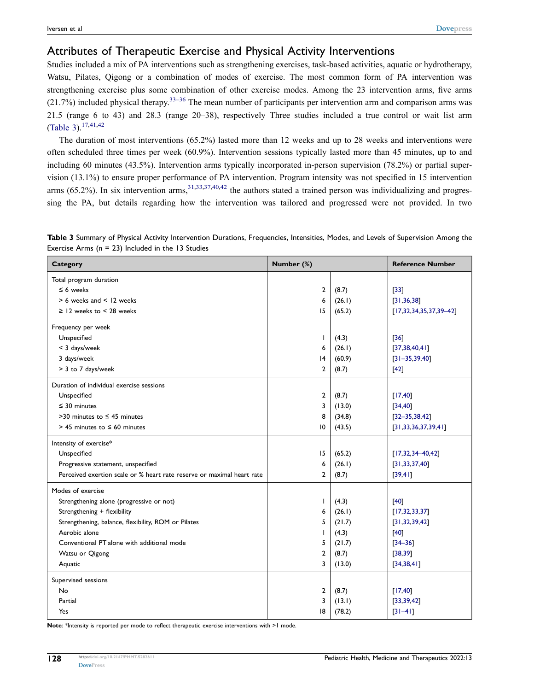#### Attributes of Therapeutic Exercise and Physical Activity Interventions

Studies included a mix of PA interventions such as strengthening exercises, task-based activities, aquatic or hydrotherapy, Watsu, Pilates, Qigong or a combination of modes of exercise. The most common form of PA intervention was strengthening exercise plus some combination of other exercise modes. Among the 23 intervention arms, five arms  $(21.7%)$  included physical therapy.<sup>33–[36](#page-29-11)</sup> The mean number of participants per intervention arm and comparison arms was 21.5 (range 6 to 43) and 28.3 (range 20–38), respectively Three studies included a true control or wait list arm [\(Table 3\)](#page-14-0).[17](#page-28-10),[41](#page-29-13)[,42](#page-29-6)

The duration of most interventions (65.2%) lasted more than 12 weeks and up to 28 weeks and interventions were often scheduled three times per week (60.9%). Intervention sessions typically lasted more than 45 minutes, up to and including 60 minutes (43.5%). Intervention arms typically incorporated in-person supervision (78.2%) or partial supervision (13.1%) to ensure proper performance of PA intervention. Program intensity was not specified in 15 intervention arms  $(65.2\%)$ . In six intervention arms,  $31,33,37,40,42$  $31,33,37,40,42$  $31,33,37,40,42$  $31,33,37,40,42$  $31,33,37,40,42$  $31,33,37,40,42$  the authors stated a trained person was individualizing and progressing the PA, but details regarding how the intervention was tailored and progressed were not provided. In two

<span id="page-14-0"></span>

|  |                                                     | Table 3 Summary of Physical Activity Intervention Durations, Frequencies, Intensities, Modes, and Levels of Supervision Among the |  |  |  |
|--|-----------------------------------------------------|-----------------------------------------------------------------------------------------------------------------------------------|--|--|--|
|  | Exercise Arms $(n = 23)$ Included in the 13 Studies |                                                                                                                                   |  |  |  |
|  |                                                     |                                                                                                                                   |  |  |  |

| <b>Category</b>                                                        | Number (%)      |        | <b>Reference Number</b>  |
|------------------------------------------------------------------------|-----------------|--------|--------------------------|
| Total program duration                                                 |                 |        |                          |
| $\leq 6$ weeks                                                         | 2               | (8.7)  | $[33]$                   |
| $> 6$ weeks and $< 12$ weeks                                           | 6               | (26.1) | [31, 36, 38]             |
| $\ge$ 12 weeks to < 28 weeks                                           | 15              | (65.2) | $[17,32,34,35,37,39-42]$ |
| Frequency per week                                                     |                 |        |                          |
| Unspecified                                                            | T               | (4.3)  | $[36]$                   |
| < 3 days/week                                                          | 6               | (26.1) | [37,38,40,41]            |
| 3 days/week                                                            | $\overline{14}$ | (60.9) | $[31 - 35, 39, 40]$      |
| > 3 to 7 days/week                                                     | $\mathbf{2}$    | (8.7)  | $[42]$                   |
| Duration of individual exercise sessions                               |                 |        |                          |
| Unspecified                                                            | 2               | (8.7)  | [17, 40]                 |
| $\leq$ 30 minutes                                                      | 3               | (13.0) | [34, 40]                 |
| $>30$ minutes to $\leq 45$ minutes                                     | 8               | (34.8) | $[32 - 35, 38, 42]$      |
| $>$ 45 minutes to $\leq$ 60 minutes                                    | 10              | (43.5) | [31, 33, 36, 37, 39, 41] |
| Intensity of exercise*                                                 |                 |        |                          |
| Unspecified                                                            | 15              | (65.2) | $[17,32,34-40,42]$       |
| Progressive statement, unspecified                                     | 6               | (26.1) | [31, 33, 37, 40]         |
| Perceived exertion scale or % heart rate reserve or maximal heart rate | $\overline{2}$  | (8.7)  | [39, 41]                 |
| Modes of exercise                                                      |                 |        |                          |
| Strengthening alone (progressive or not)                               | T               | (4.3)  | $[40]$                   |
| Strengthening + flexibility                                            | 6               | (26.1) | [17, 32, 33, 37]         |
| Strengthening, balance, flexibility, ROM or Pilates                    | 5               | (21.7) | [31, 32, 39, 42]         |
| Aerobic alone                                                          | $\mathbf{I}$    | (4.3)  | [40]                     |
| Conventional PT alone with additional mode                             | 5               | (21.7) | $[34 - 36]$              |
| Watsu or Qigong                                                        | 2               | (8.7)  | [38, 39]                 |
| Aquatic                                                                | 3               | (13.0) | [34, 38, 41]             |
| Supervised sessions                                                    |                 |        |                          |
| No                                                                     | 2               | (8.7)  | [17, 40]                 |
| Partial                                                                | 3               | (13.1) | [33, 39, 42]             |
| Yes                                                                    | 18              | (78.2) | $[31 - 41]$              |

**Note**: \*Intensity is reported per mode to reflect therapeutic exercise interventions with >1 mode.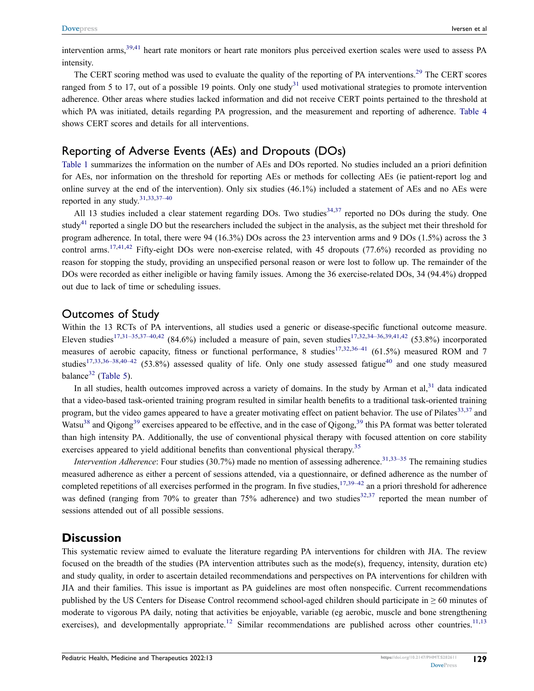intervention arms,<sup>[39](#page-29-12),[41](#page-29-13)</sup> heart rate monitors or heart rate monitors plus perceived exertion scales were used to assess PA intensity.

The CERT scoring method was used to evaluate the quality of the reporting of PA interventions.<sup>[29](#page-29-3)</sup> The CERT scores ranged from 5 to 17, out of a possible 19 points. Only one study<sup>[31](#page-29-5)</sup> used motivational strategies to promote intervention adherence. Other areas where studies lacked information and did not receive CERT points pertained to the threshold at which PA was initiated, details regarding PA progression, and the measurement and reporting of adherence. [Table 4](#page-16-0) shows CERT scores and details for all interventions.

#### Reporting of Adverse Events (AEs) and Dropouts (DOs)

[Table 1](#page-6-0) summarizes the information on the number of AEs and DOs reported. No studies included an a priori definition for AEs, nor information on the threshold for reporting AEs or methods for collecting AEs (ie patient-report log and online survey at the end of the intervention). Only six studies (46.1%) included a statement of AEs and no AEs were reported in any study.[31](#page-29-5)[,33,](#page-29-7)[37–](#page-29-26)[40](#page-29-8)

All 13 studies included a clear statement regarding DOs. Two studies $34,37$  $34,37$  reported no DOs during the study. One study<sup>[41](#page-29-13)</sup> reported a single DO but the researchers included the subject in the analysis, as the subject met their threshold for program adherence. In total, there were 94 (16.3%) DOs across the 23 intervention arms and 9 DOs (1.5%) across the 3 control arms.<sup>[17](#page-28-10)[,41](#page-29-13)[,42](#page-29-6)</sup> Fifty-eight DOs were non-exercise related, with 45 dropouts (77.6%) recorded as providing no reason for stopping the study, providing an unspecified personal reason or were lost to follow up. The remainder of the DOs were recorded as either ineligible or having family issues. Among the 36 exercise-related DOs, 34 (94.4%) dropped out due to lack of time or scheduling issues.

#### Outcomes of Study

Within the 13 RCTs of PA interventions, all studies used a generic or disease-specific functional outcome measure. Eleven studies<sup>17,[31–](#page-29-5)[35](#page-29-28)[,37–](#page-29-26)[40](#page-29-8),[42](#page-29-6)</sup> (84.6%) included a measure of pain, seven studies<sup>[17,](#page-28-10)[32](#page-29-27),[34–](#page-29-9)[36,](#page-29-11)[39](#page-29-12),[41](#page-29-13)[,42](#page-29-6)</sup> (53.8%) incorporated measures of aerobic capacity, fitness or functional performance, 8 studies<sup>17,[32](#page-29-27),[36–](#page-29-11)[41](#page-29-13)</sup> (61.5%) measured ROM and 7 studies<sup>[17](#page-28-10)[,33,](#page-29-7)[36–](#page-29-11)[38](#page-29-10)[,40–](#page-29-8)[42](#page-29-6)</sup> (53.8%) assessed quality of life. Only one study assessed fatigue<sup>[40](#page-29-8)</sup> and one study measured balance $32$  ([Table 5](#page-21-0)).

In all studies, health outcomes improved across a variety of domains. In the study by Arman et al, $31$  data indicated that a video-based task-oriented training program resulted in similar health benefits to a traditional task-oriented training program, but the video games appeared to have a greater motivating effect on patient behavior. The use of Pilates<sup>[33](#page-29-7),[37](#page-29-26)</sup> and Watsu<sup>[38](#page-29-10)</sup> and Qigong<sup>[39](#page-29-12)</sup> exercises appeared to be effective, and in the case of Qigong,<sup>39</sup> this PA format was better tolerated than high intensity PA. Additionally, the use of conventional physical therapy with focused attention on core stability exercises appeared to yield additional benefits than conventional physical therapy.<sup>35</sup>

*Intervention Adherence*: Four studies (30.7%) made no mention of assessing adherence.<sup>[31,](#page-29-5)[33–](#page-29-7)[35](#page-29-28)</sup> The remaining studies measured adherence as either a percent of sessions attended, via a questionnaire, or defined adherence as the number of completed repetitions of all exercises performed in the program. In five studies,  $17,39-42$  $17,39-42$  an a priori threshold for adherence was defined (ranging from 70% to greater than 75% adherence) and two studies<sup>[32,](#page-29-27)[37](#page-29-26)</sup> reported the mean number of sessions attended out of all possible sessions.

#### **Discussion**

<span id="page-15-0"></span>This systematic review aimed to evaluate the literature regarding PA interventions for children with JIA. The review focused on the breadth of the studies (PA intervention attributes such as the mode(s), frequency, intensity, duration etc) and study quality, in order to ascertain detailed recommendations and perspectives on PA interventions for children with JIA and their families. This issue is important as PA guidelines are most often nonspecific. Current recommendations published by the US Centers for Disease Control recommend school-aged children should participate in ≥ 60 minutes of moderate to vigorous PA daily, noting that activities be enjoyable, variable (eg aerobic, muscle and bone strengthening exercises), and developmentally appropriate.<sup>12</sup> Similar recommendations are published across other countries.<sup>[11](#page-28-4),[13](#page-28-5)</sup>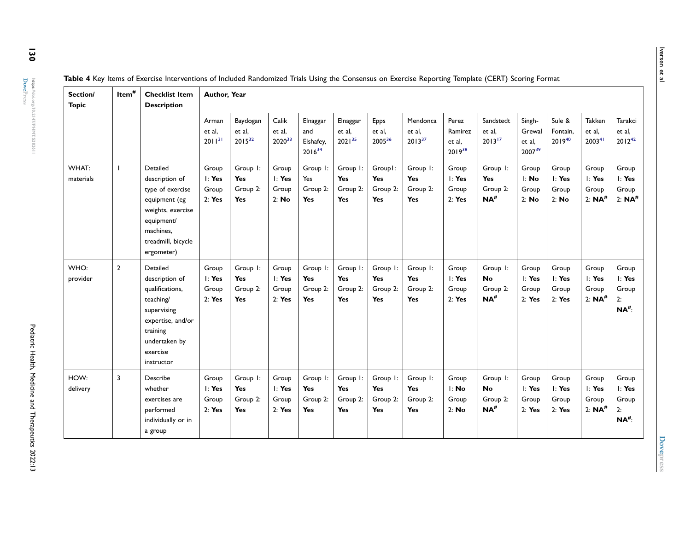| ത്<br>vi<br>œ<br>⊐ |
|--------------------|
| œ<br>−<br>ىم       |

| Section/<br><b>Topic</b> | $Item^{\#}$    | <b>Checklist Item</b><br><b>Description</b>                                                                                                           | Author, Year                          |                                                  |                                       |                                                  |                                    |                                           |                                    |                                           |                                                        |                                               |                                               |                                                  |                                                          |
|--------------------------|----------------|-------------------------------------------------------------------------------------------------------------------------------------------------------|---------------------------------------|--------------------------------------------------|---------------------------------------|--------------------------------------------------|------------------------------------|-------------------------------------------|------------------------------------|-------------------------------------------|--------------------------------------------------------|-----------------------------------------------|-----------------------------------------------|--------------------------------------------------|----------------------------------------------------------|
|                          |                |                                                                                                                                                       | Arman<br>et al,<br>$2011^{31}$        | Baydogan<br>et al,<br>$2015^{32}$                | Calik<br>et al,<br>202033             | Elnaggar<br>and<br>Elshafey,<br>$2016^{34}$      | Elnaggar<br>et al.<br>$2021^{35}$  | Epps<br>et al.<br>200536                  | Mendonca<br>et al,<br>$2013^{37}$  | Perez<br>Ramirez<br>et al.<br>$2019^{38}$ | Sandstedt<br>et al.<br>$2013^{17}$                     | Singh-<br>Grewal<br>et al.<br>$2007^{39}$     | Sule &<br>Fontain.<br>$2019^{40}$             | Takken<br>et al,<br>2003 <sup>41</sup>           | Tarakci<br>et al,<br>$2012^{42}$                         |
| WHAT:<br>materials       | $\mathbf{L}$   | Detailed<br>description of<br>type of exercise<br>equipment (eg<br>weights, exercise<br>equipment/<br>machines,<br>treadmill, bicycle<br>ergometer)   | Group<br>I: Yes<br>Group<br>2: Yes    | Group I:<br>Yes<br>Group 2:<br><b>Yes</b>        | Group<br>$l$ : Yes<br>Group<br>2: No  | Group I:<br>Yes<br>Group 2:<br>Yes               | Group I:<br>Yes<br>Group 2:<br>Yes | Group1:<br>Yes<br>Group 2:<br><b>Yes</b>  | Group I:<br>Yes<br>Group 2:<br>Yes | Group<br>$l$ : Yes<br>Group<br>2: Yes     | Group I:<br>Yes<br>Group 2:<br>$NA$ <sup>#</sup>       | Group<br>l: No<br>Group<br>2: No              | Group<br>$l$ : Yes<br>Group<br>2: No          | Group<br>I: Yes<br>Group<br>$2: NA$ <sup>#</sup> | Group<br>I: Yes<br>Group<br>2: $NA$ <sup>#</sup>         |
| WHO:<br>provider         | $\overline{2}$ | Detailed<br>description of<br>qualifications,<br>teaching/<br>supervising<br>expertise, and/or<br>training<br>undertaken by<br>exercise<br>instructor | Group<br>$l$ : Yes<br>Group<br>2: Yes | Group I:<br><b>Yes</b><br>Group 2:<br><b>Yes</b> | Group<br>$l$ : Yes<br>Group<br>2: Yes | Group I:<br><b>Yes</b><br>Group 2:<br>Yes        | Group I:<br>Yes<br>Group 2:<br>Yes | Group I:<br>Yes<br>Group 2:<br><b>Yes</b> | Group I:<br>Yes<br>Group 2:<br>Yes | Group<br>$l$ : Yes<br>Group<br>2: Yes     | Group I:<br><b>No</b><br>Group 2:<br>$NA$ <sup>#</sup> | Group<br>$\mathsf{I}:$ Yes<br>Group<br>2: Yes | Group<br>$\mathsf{I}:$ Yes<br>Group<br>2: Yes | Group<br>l: Yes<br>Group<br>2: $NA$ <sup>#</sup> | Group<br>I: Yes<br>Group<br>2:<br>$NA$ <sup>#</sup> :    |
| HOW:<br>delivery         | 3              | Describe<br>whether<br>exercises are<br>performed<br>individually or in<br>a group                                                                    | Group<br>I: Yes<br>Group<br>2: Yes    | Group I:<br>Yes<br>Group 2:<br><b>Yes</b>        | Group<br>$l$ : Yes<br>Group<br>2: Yes | Group I:<br><b>Yes</b><br>Group 2:<br><b>Yes</b> | Group I:<br>Yes<br>Group 2:<br>Yes | Group I:<br>Yes<br>Group 2:<br><b>Yes</b> | Group I:<br>Yes<br>Group 2:<br>Yes | Group<br>l: No<br>Group<br>2: No          | Group I:<br><b>No</b><br>Group 2:<br>$NA$ <sup>#</sup> | Group<br>$l$ : Yes<br>Group<br>2: Yes         | Group<br>$\mathsf{I}:$ Yes<br>Group<br>2: Yes | Group<br>I: Yes<br>Group<br>2: $NA$ <sup>#</sup> | Group<br>$l$ : Yes<br>Group<br>2:<br>$NA$ <sup>#</sup> : |

<span id="page-16-0"></span>Table 4 Key Items of Exercise Interventions of Included Randomized Trials Using the Consensus on Exercise Reporting Template (CERT) Scoring Format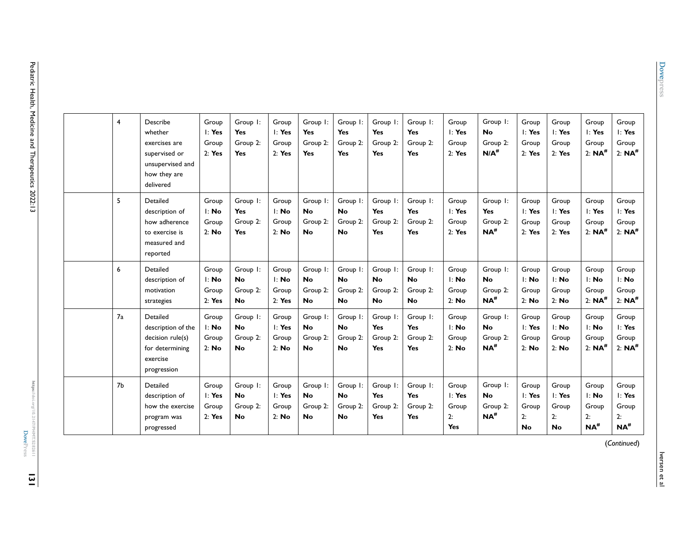| https://doi.org/10.2147/PHMT.S282611 |  |
|--------------------------------------|--|
|                                      |  |
|                                      |  |
|                                      |  |

| 4              | Describe<br>whether<br>exercises are<br>supervised or<br>unsupervised and<br>how they are<br>delivered | Group<br>$\mathsf{I}:$ Yes<br>Group<br>2: Yes | Group I:<br><b>Yes</b><br>Group 2:<br><b>Yes</b> | Group<br>$\mathsf{I}:$ Yes<br>Group<br>2: Yes | Group I:<br><b>Yes</b><br>Group 2:<br><b>Yes</b> | Group I:<br>Yes<br>Group 2:<br>Yes             | Group I:<br>Yes<br>Group 2:<br>Yes             | Group I:<br>Yes<br>Group 2:<br>Yes               | Group<br>$\mathsf{I}:$ Yes<br>Group<br>2: Yes    | Group I:<br><b>No</b><br>Group 2:<br>$N/A$ <sup>#</sup> | Group<br>l: Yes<br>Group<br>2: Yes             | Group<br>$\mathsf{I}:$ Yes<br>Group<br>2: Yes  | Group<br>I: Yes<br>Group<br>2: $NA$ <sup>#</sup>                       | Group<br>l: Yes<br>Group<br>2: $NA$ <sup>#</sup>       |
|----------------|--------------------------------------------------------------------------------------------------------|-----------------------------------------------|--------------------------------------------------|-----------------------------------------------|--------------------------------------------------|------------------------------------------------|------------------------------------------------|--------------------------------------------------|--------------------------------------------------|---------------------------------------------------------|------------------------------------------------|------------------------------------------------|------------------------------------------------------------------------|--------------------------------------------------------|
| 5              | Detailed<br>description of<br>how adherence<br>to exercise is<br>measured and<br>reported              | Group<br>l: No<br>Group<br>2: No              | Group I:<br><b>Yes</b><br>Group 2:<br><b>Yes</b> | Group<br>l: No<br>Group<br>2: No              | Group I:<br><b>No</b><br>Group 2:<br><b>No</b>   | Group I:<br><b>No</b><br>Group 2:<br><b>No</b> | Group I:<br>Yes<br>Group 2:<br>Yes             | Group I:<br>Yes<br>Group 2:<br><b>Yes</b>        | Group<br>$l$ : Yes<br>Group<br>2: Yes            | Group I:<br><b>Yes</b><br>Group 2:<br>$NA$ #            | Group<br>l: Yes<br>Group<br>2: Yes             | Group<br>l: Yes<br>Group<br>2: Yes             | Group<br>I: Yes<br>Group<br>$2: NA^{\#}$                               | Group<br>l: Yes<br>Group<br>$2: NA^{\#}$               |
| 6              | Detailed<br>description of<br>motivation<br>strategies                                                 | Group<br>l: No<br>Group<br>2: Yes             | Group I:<br><b>No</b><br>Group 2:<br><b>No</b>   | Group<br>l: No<br>Group<br>2: Yes             | Group I:<br><b>No</b><br>Group 2:<br><b>No</b>   | Group I:<br><b>No</b><br>Group 2:<br><b>No</b> | Group I:<br><b>No</b><br>Group 2:<br><b>No</b> | Group I:<br><b>No</b><br>Group 2:<br><b>No</b>   | Group<br>l: No<br>Group<br>2: No                 | Group I:<br><b>No</b><br>Group 2:<br>$NA$ #             | Group<br>l: No<br>Group<br>2: No               | Group<br>l: No<br>Group<br>2: No               | Group<br>l: No<br>Group<br>$2: NA^{\#}$                                | Group<br>l: No<br>Group<br>$2: NA^{\#}$                |
| 7a             | Detailed<br>description of the<br>decision rule(s)<br>for determining<br>exercise<br>progression       | Group<br>l: No<br>Group<br>2: No              | Group I:<br><b>No</b><br>Group 2:<br><b>No</b>   | Group<br>$l$ : Yes<br>Group<br>2: No          | Group I:<br><b>No</b><br>Group 2:<br><b>No</b>   | Group I:<br><b>No</b><br>Group 2:<br><b>No</b> | Group I:<br>Yes<br>Group 2:<br>Yes             | Group I:<br><b>Yes</b><br>Group 2:<br><b>Yes</b> | Group<br>l: No<br>Group<br>2: No                 | Group I:<br><b>No</b><br>Group 2:<br>$NA^{\#}$          | Group<br>$\mathsf{I}:$ Yes<br>Group<br>2: No   | Group<br>l: No<br>Group<br>2: No               | Group<br>l: No<br>Group<br>2: $NA$ <sup>#</sup>                        | Group<br>I: Yes<br>Group<br>$2: NA$ <sup>#</sup>       |
| 7 <sub>b</sub> | Detailed<br>description of<br>how the exercise<br>program was<br>progressed                            | Group<br>I: Yes<br>Group<br>2: Yes            | Group I:<br><b>No</b><br>Group 2:<br><b>No</b>   | Group<br>$l$ : Yes<br>Group<br>2: No          | Group I:<br><b>No</b><br>Group 2:<br><b>No</b>   | Group I:<br><b>No</b><br>Group 2:<br><b>No</b> | Group I:<br>Yes<br>Group 2:<br>Yes             | Group I:<br>Yes<br>Group 2:<br><b>Yes</b>        | Group<br>$\mathsf{I}:$ Yes<br>Group<br>2:<br>Yes | Group I:<br><b>No</b><br>Group 2:<br>$NA$ <sup>#</sup>  | Group<br>$l$ : Yes<br>Group<br>2:<br><b>No</b> | Group<br>$l$ : Yes<br>Group<br>2:<br><b>No</b> | Group<br>$\mathsf{I}: \mathsf{No}$<br>Group<br>2:<br>$NA$ <sup>#</sup> | Group<br>$l$ : Yes<br>Group<br>2:<br>$NA$ <sup>#</sup> |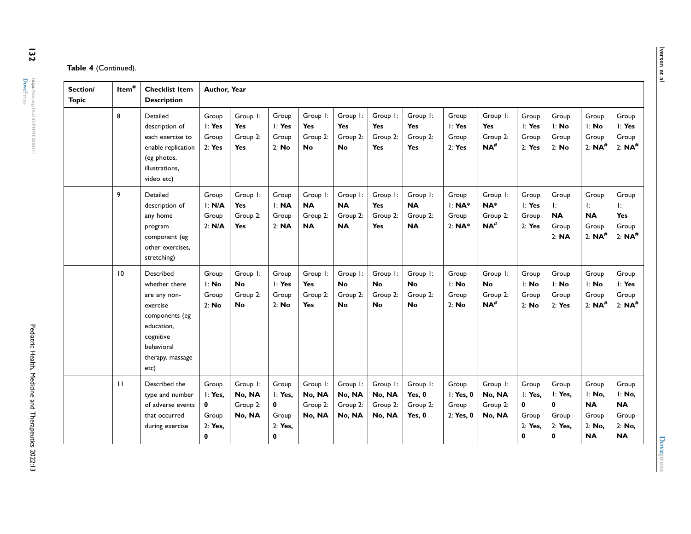|  | Table 4 (Continued). |  |
|--|----------------------|--|
|--|----------------------|--|

| Section/<br><b>Topic</b> | Item <sup>#</sup> | <b>Checklist Item</b><br><b>Description</b>                                                                                                   | Author, Year                                          |                                                  |                                                                 |                                                 |                                                 |                                                |                                                  |                                               |                                                         |                                                |                                                                     |                                                              |                                                              |
|--------------------------|-------------------|-----------------------------------------------------------------------------------------------------------------------------------------------|-------------------------------------------------------|--------------------------------------------------|-----------------------------------------------------------------|-------------------------------------------------|-------------------------------------------------|------------------------------------------------|--------------------------------------------------|-----------------------------------------------|---------------------------------------------------------|------------------------------------------------|---------------------------------------------------------------------|--------------------------------------------------------------|--------------------------------------------------------------|
|                          | 8                 | Detailed<br>description of<br>each exercise to<br>enable replication<br>(eg photos,<br>illustrations.<br>video etc)                           | Group<br>I: Yes<br>Group<br>2: Yes                    | Group I:<br><b>Yes</b><br>Group 2:<br><b>Yes</b> | Group<br>$l$ : Yes<br>Group<br>2: No                            | Group I:<br><b>Yes</b><br>Group 2:<br><b>No</b> | Group I:<br><b>Yes</b><br>Group 2:<br><b>No</b> | Group I:<br><b>Yes</b><br>Group 2:<br>Yes      | Group I:<br><b>Yes</b><br>Group 2:<br><b>Yes</b> | Group<br>$\mathsf{I}:$ Yes<br>Group<br>2: Yes | Group I:<br><b>Yes</b><br>Group 2:<br>$NA$ <sup>#</sup> | Group<br>l: Yes<br>Group<br>2: Yes             | Group<br>l: No<br>Group<br>2: No                                    | Group<br>l: No<br>Group<br>2: $NA$ <sup>#</sup>              | Group<br>I: Yes<br>Group<br>$2: NA^{\#}$                     |
|                          | 9                 | Detailed<br>description of<br>any home<br>program<br>component (eg<br>other exercises.<br>stretching)                                         | Group<br>I: N/A<br>Group<br>2: N/A                    | Group I:<br>Yes<br>Group 2:<br><b>Yes</b>        | Group<br>I: NA<br>Group<br>2: <b>NA</b>                         | Group I:<br><b>NA</b><br>Group 2:<br><b>NA</b>  | Group I:<br><b>NA</b><br>Group 2:<br><b>NA</b>  | Group I:<br>Yes<br>Group 2:<br><b>Yes</b>      | Group I:<br><b>NA</b><br>Group 2:<br><b>NA</b>   | Group<br>l: NA*<br>Group<br>$2: NA*$          | Group I:<br>NA*<br>Group 2:<br>$NA$ <sup>#</sup>        | Group<br>I: Yes<br>Group<br>2: Yes             | Group<br>Ŀ.<br><b>NA</b><br>Group<br>2: <b>NA</b>                   | Group<br>Ŀ.<br><b>NA</b><br>Group<br>2: $NA$ <sup>#</sup>    | Group<br>Ŀ.<br>Yes<br>Group<br>2: $NA$ <sup>#</sup>          |
|                          | $\overline{10}$   | Described<br>whether there<br>are any non-<br>exercise<br>components (eg<br>education,<br>cognitive<br>behavioral<br>therapy, massage<br>etc) | Group<br>l: No<br>Group<br>2: No                      | Group I:<br><b>No</b><br>Group 2:<br><b>No</b>   | Group<br>I: Yes<br>Group<br>2: No                               | Group I:<br>Yes<br>Group 2:<br>Yes              | Group I:<br><b>No</b><br>Group 2:<br><b>No</b>  | Group I:<br><b>No</b><br>Group 2:<br><b>No</b> | Group I:<br><b>No</b><br>Group 2:<br><b>No</b>   | Group<br>l: No<br>Group<br>2: No              | Group I:<br><b>No</b><br>Group 2:<br>$NA$ <sup>#</sup>  | Group<br>I: No<br>Group<br>2: No               | Group<br>l: No<br>Group<br>2: Yes                                   | Group<br>l: No<br>Group<br>$2: NA^{\#}$                      | Group<br>I: Yes<br>Group<br>2: $NA$ <sup>#</sup>             |
|                          | $\mathbf{H}$      | Described the<br>type and number<br>of adverse events<br>that occurred<br>during exercise                                                     | Group<br>I: Yes.<br>$\bf{0}$<br>Group<br>2: Yes,<br>0 | Group I:<br>No, NA<br>Group 2:<br>No, NA         | Group<br>I: Yes.<br>$\mathbf 0$<br>Group<br>2: Yes.<br>$\bf{0}$ | Group I:<br>No, NA<br>Group 2:<br>No, NA        | Group I:<br>No, NA<br>Group 2:<br>No, NA        | Group I:<br>No, NA<br>Group 2:<br>No, NA       | Group I:<br>Yes, 0<br>Group 2:<br>Yes, 0         | Group<br>I: Yes, 0<br>Group<br>2: Yes, 0      | Group I:<br>No, NA<br>Group 2:<br>No, NA                | Group<br>I: Yes.<br>0<br>Group<br>2: Yes.<br>0 | Group<br>I: Yes,<br>$\mathbf 0$<br>Group<br>2: Yes.<br>$\mathbf{0}$ | Group<br>l: No,<br><b>NA</b><br>Group<br>2: No.<br><b>NA</b> | Group<br>l: No,<br><b>NA</b><br>Group<br>2: No,<br><b>NA</b> |

**[DovePress](https://www.dovepress.com)** 

**https://doi.org/10.2147/PHMT.S282611**

https://doi.org/10.2147/PHMT5282611<br>**Dove**Press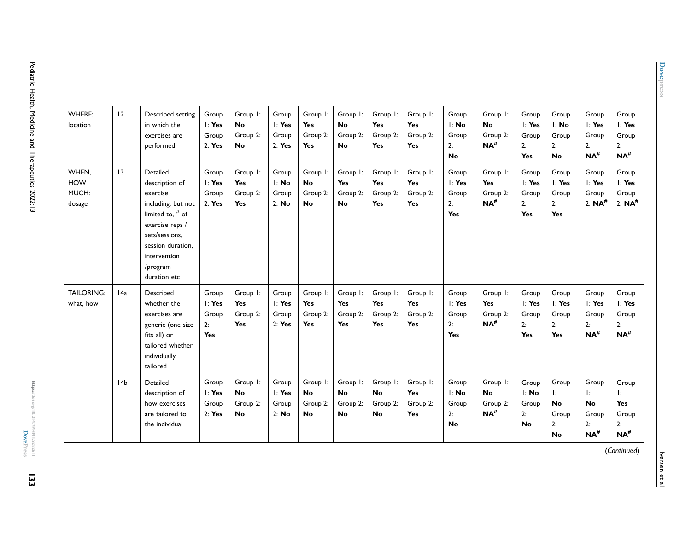| <b>WHERE:</b><br>location              | 12              | Described setting<br>in which the<br>exercises are<br>performed                                                                                                                          | Group<br>$\mathsf{I}:$ Yes<br>Group<br>2: Yes | Group I:<br><b>No</b><br>Group 2:<br><b>No</b> | Group<br>l: Yes<br>Group<br>2: Yes    | Group I:<br>Yes<br>Group 2:<br>Yes             | Group I:<br><b>No</b><br>Group 2:<br><b>No</b> | Group I:<br><b>Yes</b><br>Group 2:<br><b>Yes</b> | Group I:<br><b>Yes</b><br>Group 2:<br><b>Yes</b> | Group<br>l: No<br>Group<br>2:<br>No          | Group I:<br><b>No</b><br>Group 2:<br>$NA$ #  | Group<br>$\mathsf{I}:$ Yes<br>Group<br>2:<br>Yes | Group<br>l: No<br>Group<br>2:<br><b>No</b>                     | Group<br>l: Yes<br>Group<br>2:<br>$NA$ <sup>#</sup>  | Group<br>I: Yes<br>Group<br>2:<br>$NA$ <sup>#</sup>    |
|----------------------------------------|-----------------|------------------------------------------------------------------------------------------------------------------------------------------------------------------------------------------|-----------------------------------------------|------------------------------------------------|---------------------------------------|------------------------------------------------|------------------------------------------------|--------------------------------------------------|--------------------------------------------------|----------------------------------------------|----------------------------------------------|--------------------------------------------------|----------------------------------------------------------------|------------------------------------------------------|--------------------------------------------------------|
| WHEN,<br><b>HOW</b><br>MUCH:<br>dosage | $ 3\rangle$     | Detailed<br>description of<br>exercise<br>including, but not<br>limited to, $#$ of<br>exercise reps /<br>sets/sessions,<br>session duration,<br>intervention<br>/program<br>duration etc | Group<br>$l$ : Yes<br>Group<br>2: Yes         | Group I:<br>Yes<br>Group 2:<br><b>Yes</b>      | Group<br>l: No<br>Group<br>2: No      | Group I:<br><b>No</b><br>Group 2:<br><b>No</b> | Group I:<br>Yes<br>Group 2:<br><b>No</b>       | Group I:<br>Yes<br>Group 2:<br><b>Yes</b>        | Group I:<br>Yes<br>Group 2:<br><b>Yes</b>        | Group<br>l: Yes<br>Group<br>2:<br><b>Yes</b> | Group I:<br><b>Yes</b><br>Group 2:<br>$NA$ # | Group<br>$l$ : Yes<br>Group<br>2:<br>Yes         | Group<br>l: Yes<br>Group<br>2:<br>Yes                          | Group<br>l: Yes<br>Group<br>$2: NA^{\#}$             | Group<br>l: Yes<br>Group<br>$2: NA^{\#}$               |
| <b>TAILORING:</b><br>what, how         | 14a             | Described<br>whether the<br>exercises are<br>generic (one size<br>fits all) or<br>tailored whether<br>individually<br>tailored                                                           | Group<br>$l$ : Yes<br>Group<br>2:<br>Yes      | Group I:<br>Yes<br>Group 2:<br>Yes             | Group<br>$l$ : Yes<br>Group<br>2: Yes | Group I:<br>Yes<br>Group 2:<br>Yes             | Group I:<br>Yes<br>Group 2:<br>Yes             | Group I:<br><b>Yes</b><br>Group 2:<br><b>Yes</b> | Group I:<br><b>Yes</b><br>Group 2:<br><b>Yes</b> | Group<br>I: Yes<br>Group<br>2:<br>Yes        | Group I:<br><b>Yes</b><br>Group 2:<br>$NA$ # | Group<br>$l$ : Yes<br>Group<br>2:<br>Yes         | Group<br>l: Yes<br>Group<br>2:<br>Yes                          | Group<br>l: Yes<br>Group<br>2:<br>$NA^{\#}$          | Group<br>I: Yes<br>Group<br>2:<br>$NA$ <sup>#</sup>    |
|                                        | 14 <sub>b</sub> | Detailed<br>description of<br>how exercises<br>are tailored to<br>the individual                                                                                                         | Group<br>$\mathsf{I}:$ Yes<br>Group<br>2: Yes | Group I:<br><b>No</b><br>Group 2:<br><b>No</b> | Group<br>$l$ : Yes<br>Group<br>2: No  | Group I:<br><b>No</b><br>Group 2:<br><b>No</b> | Group I:<br><b>No</b><br>Group 2:<br><b>No</b> | Group I:<br><b>No</b><br>Group 2:<br><b>No</b>   | Group I:<br><b>Yes</b><br>Group 2:<br><b>Yes</b> | Group<br>l: No<br>Group<br>2:<br><b>No</b>   | Group I:<br><b>No</b><br>Group 2:<br>$NA$ #  | Group<br>l: No<br>Group<br>2:<br><b>No</b>       | Group<br>$\mathbf{E}$<br><b>No</b><br>Group<br>2:<br><b>No</b> | Group<br>Ŀ.<br><b>No</b><br>Group<br>2:<br>$NA^{\#}$ | Group<br>Ŀ.<br>Yes<br>Group<br>2:<br>$NA$ <sup>#</sup> |

Pediatric Health, Medicine and Therapeutics 2022:13 Pediatric Health, Medicine and Therapeutics 2022:13

**133**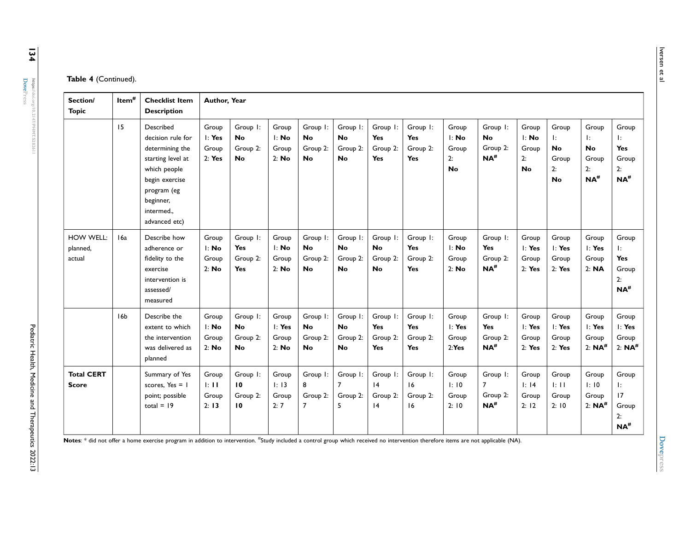| Section/<br><b>Topic</b>          | Item <sup>#</sup> | <b>Checklist Item</b><br><b>Description</b>                                                                                                                       | Author, Year                          |                                                  |                                                      |                                                |                                                |                                                  |                                           |                                                      |                                                        |                                            |                                                        |                                                      |                                                               |
|-----------------------------------|-------------------|-------------------------------------------------------------------------------------------------------------------------------------------------------------------|---------------------------------------|--------------------------------------------------|------------------------------------------------------|------------------------------------------------|------------------------------------------------|--------------------------------------------------|-------------------------------------------|------------------------------------------------------|--------------------------------------------------------|--------------------------------------------|--------------------------------------------------------|------------------------------------------------------|---------------------------------------------------------------|
|                                   | 15                | Described<br>decision rule for<br>determining the<br>starting level at<br>which people<br>begin exercise<br>program (eg<br>beginner,<br>intermed<br>advanced etc) | Group<br>$l$ : Yes<br>Group<br>2: Yes | Group I:<br><b>No</b><br>Group 2:<br><b>No</b>   | Group<br>$\mathsf{I}: \mathsf{No}$<br>Group<br>2: No | Group I:<br><b>No</b><br>Group 2:<br><b>No</b> | Group I:<br><b>No</b><br>Group 2:<br><b>No</b> | Group I:<br><b>Yes</b><br>Group 2:<br><b>Yes</b> | Group I:<br>Yes<br>Group 2:<br>Yes        | Group<br>l: No<br>Group<br>2:<br><b>No</b>           | Group I:<br><b>No</b><br>Group 2:<br>$NA$ <sup>#</sup> | Group<br>l: No<br>Group<br>2:<br><b>No</b> | Group<br>Ŀ.<br><b>No</b><br>Group<br>2:<br><b>No</b>   | Group<br>Ŀ.<br><b>No</b><br>Group<br>2:<br>$NA^{\#}$ | Group<br>Ŀ.<br><b>Yes</b><br>Group<br>2:<br>$NA$ <sup>#</sup> |
| HOW WELL:<br>planned,<br>actual   | 16a               | Describe how<br>adherence or<br>fidelity to the<br>exercise<br>intervention is<br>assessed/<br>measured                                                           | Group<br>l: No<br>Group<br>2: No      | Group I:<br><b>Yes</b><br>Group 2:<br><b>Yes</b> | Group<br>$\mathsf{I}: \mathsf{No}$<br>Group<br>2: No | Group I:<br><b>No</b><br>Group 2:<br><b>No</b> | Group I:<br><b>No</b><br>Group 2:<br><b>No</b> | Group I:<br><b>No</b><br>Group 2:<br><b>No</b>   | Group I:<br>Yes<br>Group 2:<br><b>Yes</b> | Group<br>$\mathsf{I}: \mathsf{No}$<br>Group<br>2: No | Group I:<br>Yes<br>Group 2:<br>$NA$ <sup>#</sup>       | Group<br>$l$ : Yes<br>Group<br>2: Yes      | Group<br>l: Yes<br>Group<br>2: Yes                     | Group<br>I: Yes<br>Group<br>2: <b>NA</b>             | Group<br>Ŀ.<br>Yes<br>Group<br>2:<br>$NA$ <sup>#</sup>        |
|                                   | 16 <sub>b</sub>   | Describe the<br>extent to which<br>the intervention<br>was delivered as<br>planned                                                                                | Group<br>l: No<br>Group<br>2: No      | Group I:<br>No.<br>Group 2:<br><b>No</b>         | Group<br>$l$ : Yes<br>Group<br>2: No                 | Group I:<br><b>No</b><br>Group 2:<br><b>No</b> | Group I:<br><b>No</b><br>Group 2:<br><b>No</b> | Group I:<br><b>Yes</b><br>Group 2:<br><b>Yes</b> | Group I:<br>Yes<br>Group 2:<br><b>Yes</b> | Group<br>$\mathsf{I}:$ Yes<br>Group<br>2:Yes         | Group I:<br>Yes<br>Group 2:<br>$NA$ <sup>#</sup>       | Group<br>$l$ : Yes<br>Group<br>2: Yes      | Group<br>$\mathsf{I}: \mathsf{Yes}$<br>Group<br>2: Yes | Group<br>I: Yes<br>Group<br>2: $NA$ <sup>#</sup>     | Group<br>l: Yes<br>Group<br>2: $NA$ <sup>#</sup>              |
| <b>Total CERT</b><br><b>Score</b> |                   | Summary of Yes<br>scores, $Yes = 1$<br>point; possible<br>total = $19$                                                                                            | Group<br>$\pm$ 11<br>Group<br>2:13    | Group I:<br>10<br>Group 2:<br>10                 | Group<br>1:13<br>Group<br>2:7                        | Group I:<br>8<br>Group 2:<br>$\overline{7}$    | Group I:<br>$\overline{7}$<br>Group 2:<br>5    | Group I:<br> 4<br>Group 2:<br> 4                 | Group I:<br>16<br>Group 2:<br>16          | Group<br>1:10<br>Group<br>2:10                       | Group I:<br>7<br>Group 2:<br>$NA$ <sup>#</sup>         | Group<br>$\vdots$ 14<br>Group<br>2:12      | Group<br>$\pm$ 11<br>Group<br>2:10                     | Group<br>1:10<br>Group<br>2: $NA$ <sup>#</sup>       | Group<br>Ŀ.<br>17<br>Group<br>2:<br>$NA$ <sup>#</sup>         |

Notes: \* did not offer a home exercise program in addition to intervention. <sup>#</sup>Study included a control group which received no intervention therefore items are not applicable (NA).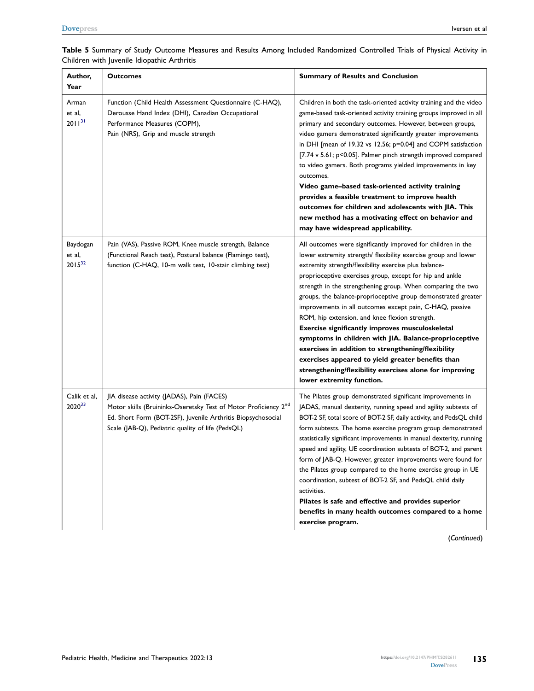| Author,<br>Year                   | <b>Outcomes</b>                                                                                                                                                                                                                                | <b>Summary of Results and Conclusion</b>                                                                                                                                                                                                                                                                                                                                                                                                                                                                                                                                                                                                                                                                                                                                                                         |
|-----------------------------------|------------------------------------------------------------------------------------------------------------------------------------------------------------------------------------------------------------------------------------------------|------------------------------------------------------------------------------------------------------------------------------------------------------------------------------------------------------------------------------------------------------------------------------------------------------------------------------------------------------------------------------------------------------------------------------------------------------------------------------------------------------------------------------------------------------------------------------------------------------------------------------------------------------------------------------------------------------------------------------------------------------------------------------------------------------------------|
| Arman<br>et al,<br>$2011^{31}$    | Function (Child Health Assessment Questionnaire (C-HAQ),<br>Derousse Hand Index (DHI), Canadian Occupational<br>Performance Measures (COPM),<br>Pain (NRS), Grip and muscle strength                                                           | Children in both the task-oriented activity training and the video<br>game-based task-oriented activity training groups improved in all<br>primary and secondary outcomes. However, between groups,<br>video gamers demonstrated significantly greater improvements<br>in DHI [mean of 19.32 vs 12.56; p=0.04] and COPM satisfaction<br>[7.74 v 5.61; p<0.05]. Palmer pinch strength improved compared<br>to video gamers. Both programs yielded improvements in key<br>outcomes.<br>Video game-based task-oriented activity training<br>provides a feasible treatment to improve health<br>outcomes for children and adolescents with JIA. This<br>new method has a motivating effect on behavior and<br>may have widespread applicability.                                                                     |
| Baydogan<br>et al,<br>$2015^{32}$ | Pain (VAS), Passive ROM, Knee muscle strength, Balance<br>(Functional Reach test), Postural balance (Flamingo test),<br>function (C-HAQ, 10-m walk test, 10-stair climbing test)                                                               | All outcomes were significantly improved for children in the<br>lower extremity strength/ flexibility exercise group and lower<br>extremity strength/flexibility exercise plus balance-<br>proprioceptive exercises group, except for hip and ankle<br>strength in the strengthening group. When comparing the two<br>groups, the balance-proprioceptive group demonstrated greater<br>improvements in all outcomes except pain, C-HAQ, passive<br>ROM, hip extension, and knee flexion strength.<br>Exercise significantly improves musculoskeletal<br>symptoms in children with JIA. Balance-proprioceptive<br>exercises in addition to strengthening/flexibility<br>exercises appeared to yield greater benefits than<br>strengthening/flexibility exercises alone for improving<br>lower extremity function. |
| Calik et al,<br>202033            | JIA disease activity (JADAS), Pain (FACES)<br>Motor skills (Bruininks-Oseretsky Test of Motor Proficiency 2 <sup>nd</sup><br>Ed. Short Form (BOT-2SF), Juvenile Arthritis Biopsychosocial<br>Scale (JAB-Q), Pediatric quality of life (PedsQL) | The Pilates group demonstrated significant improvements in<br>JADAS, manual dexterity, running speed and agility subtests of<br>BOT-2 SF, total score of BOT-2 SF, daily activity, and PedsQL child<br>form subtests. The home exercise program group demonstrated<br>statistically significant improvements in manual dexterity, running<br>speed and agility, UE coordination subtests of BOT-2, and parent<br>form of JAB-Q. However, greater improvements were found for<br>the Pilates group compared to the home exercise group in UE<br>coordination, subtest of BOT-2 SF, and PedsQL child daily<br>activities.<br>Pilates is safe and effective and provides superior<br>benefits in many health outcomes compared to a home<br>exercise program.                                                       |

#### <span id="page-21-0"></span>**Table 5** Summary of Study Outcome Measures and Results Among Included Randomized Controlled Trials of Physical Activity in Children with Juvenile Idiopathic Arthritis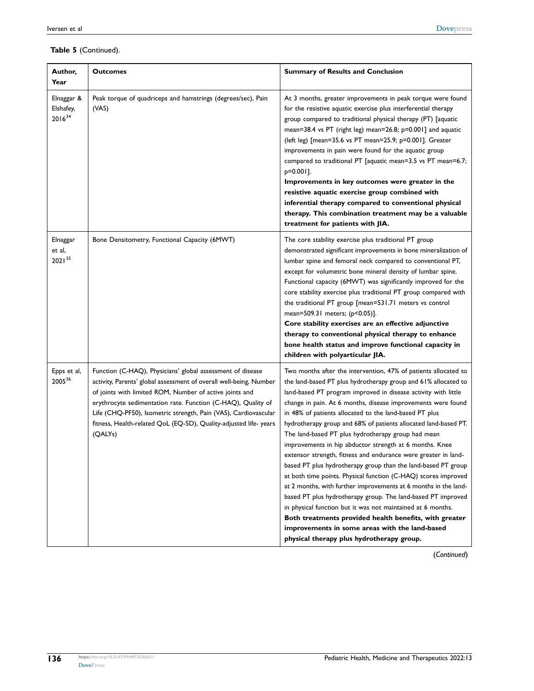| Author,<br>Year                        | <b>Outcomes</b>                                                                                                                                                                                                                                                                                                                                                                                                | <b>Summary of Results and Conclusion</b>                                                                                                                                                                                                                                                                                                                                                                                                                                                                                                                                                                                                                                                                                                                                                                                                                                                                                                                                                                                                                                          |
|----------------------------------------|----------------------------------------------------------------------------------------------------------------------------------------------------------------------------------------------------------------------------------------------------------------------------------------------------------------------------------------------------------------------------------------------------------------|-----------------------------------------------------------------------------------------------------------------------------------------------------------------------------------------------------------------------------------------------------------------------------------------------------------------------------------------------------------------------------------------------------------------------------------------------------------------------------------------------------------------------------------------------------------------------------------------------------------------------------------------------------------------------------------------------------------------------------------------------------------------------------------------------------------------------------------------------------------------------------------------------------------------------------------------------------------------------------------------------------------------------------------------------------------------------------------|
| Elnaggar &<br>Elshafey,<br>$2016^{34}$ | Peak torque of quadriceps and hamstrings (degrees/sec), Pain<br>(VAS)                                                                                                                                                                                                                                                                                                                                          | At 3 months, greater improvements in peak torque were found<br>for the resistive aquatic exercise plus interferential therapy<br>group compared to traditional physical therapy (PT) [aquatic<br>mean=38.4 vs PT (right leg) mean=26.8; p=0.001] and aquatic<br>(left leg) [mean=35.6 vs PT mean=25.9; p=0.001]. Greater<br>improvements in pain were found for the aquatic group<br>compared to traditional PT [aquatic mean=3.5 vs PT mean=6.7;<br>p=0.001].<br>Improvements in key outcomes were greater in the<br>resistive aquatic exercise group combined with<br>inferential therapy compared to conventional physical<br>therapy. This combination treatment may be a valuable<br>treatment for patients with JIA.                                                                                                                                                                                                                                                                                                                                                        |
| Elnaggar<br>et al,<br>$2021^{35}$      | Bone Densitometry, Functional Capacity (6MWT)                                                                                                                                                                                                                                                                                                                                                                  | The core stability exercise plus traditional PT group<br>demonstrated significant improvements in bone mineralization of<br>lumbar spine and femoral neck compared to conventional PT,<br>except for volumetric bone mineral density of lumbar spine.<br>Functional capacity (6MWT) was significantly improved for the<br>core stability exercise plus traditional PT group compared with<br>the traditional PT group [mean=531.71 meters vs control<br>mean=509.31 meters; (p<0.05)].<br>Core stability exercises are an effective adjunctive<br>therapy to conventional physical therapy to enhance<br>bone health status and improve functional capacity in<br>children with polyarticular JIA.                                                                                                                                                                                                                                                                                                                                                                                |
| Epps et al,<br>200536                  | Function (C-HAQ), Physicians' global assessment of disease<br>activity, Parents' global assessment of overall well-being, Number<br>of joints with limited ROM, Number of active joints and<br>erythrocyte sedimentation rate. Function (C-HAQ), Quality of<br>Life (CHQ-PF50), Isometric strength, Pain (VAS), Cardiovascular<br>fitness, Health-related QoL (EQ-5D), Quality-adjusted life- years<br>(QALYs) | Two months after the intervention, 47% of patients allocated to<br>the land-based PT plus hydrotherapy group and 61% allocated to<br>land-based PT program improved in disease activity with little<br>change in pain. At 6 months, disease improvements were found<br>in 48% of patients allocated to the land-based PT plus<br>hydrotherapy group and 68% of patients allocated land-based PT.<br>The land-based PT plus hydrotherapy group had mean<br>improvements in hip abductor strength at 6 months. Knee<br>extensor strength, fitness and endurance were greater in land-<br>based PT plus hydrotherapy group than the land-based PT group<br>at both time points. Physical function (C-HAQ) scores improved<br>at 2 months, with further improvements at 6 months in the land-<br>based PT plus hydrotherapy group. The land-based PT improved<br>in physical function but it was not maintained at 6 months.<br>Both treatments provided health benefits, with greater<br>improvements in some areas with the land-based<br>physical therapy plus hydrotherapy group. |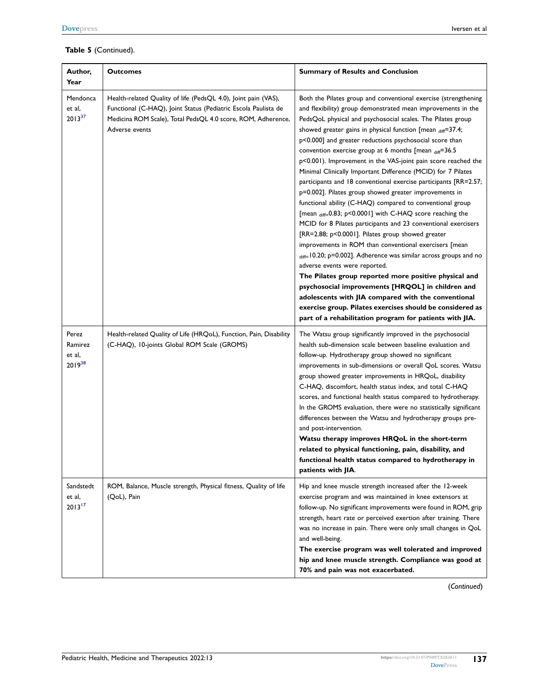| Author,<br>Year                           | <b>Outcomes</b>                                                                                                                                                                                                    | <b>Summary of Results and Conclusion</b>                                                                                                                                                                                                                                                                                                                                                                                                                                                                                                                                                                                                                                                                                                                                                                                                                                                                                                                                                                                                                                                                                                                                                                                                                                                                                                                                |
|-------------------------------------------|--------------------------------------------------------------------------------------------------------------------------------------------------------------------------------------------------------------------|-------------------------------------------------------------------------------------------------------------------------------------------------------------------------------------------------------------------------------------------------------------------------------------------------------------------------------------------------------------------------------------------------------------------------------------------------------------------------------------------------------------------------------------------------------------------------------------------------------------------------------------------------------------------------------------------------------------------------------------------------------------------------------------------------------------------------------------------------------------------------------------------------------------------------------------------------------------------------------------------------------------------------------------------------------------------------------------------------------------------------------------------------------------------------------------------------------------------------------------------------------------------------------------------------------------------------------------------------------------------------|
| Mendonca<br>et al,<br>$2013^{37}$         | Health-related Quality of life (PedsQL 4.0), Joint pain (VAS),<br>Functional (C-HAQ), Joint Status (Pediatric Escola Paulista de<br>Medicina ROM Scale), Total PedsQL 4.0 score, ROM, Adherence,<br>Adverse events | Both the Pilates group and conventional exercise (strengthening<br>and flexibility) group demonstrated mean improvements in the<br>PedsQoL physical and psychosocial scales. The Pilates group<br>showed greater gains in physical function [mean diff=37.4;<br>p<0.000] and greater reductions psychosocial score than<br>convention exercise group at 6 months [mean $_{diff}$ =36.5<br>p<0.001). Improvement in the VAS-joint pain score reached the<br>Minimal Clinically Important Difference (MCID) for 7 Pilates<br>participants and 18 conventional exercise participants [RR=2.57;<br>p=0.002]. Pilates group showed greater improvements in<br>functional ability (C-HAQ) compared to conventional group<br>[mean $_{diff=}0.83$ ; p<0.0001] with C-HAQ score reaching the<br>MCID for 8 Pilates participants and 23 conventional exercisers<br>[RR=2.88; p<0.0001]. Pilates group showed greater<br>improvements in ROM than conventional exercisers [mean<br>diff=10.20; p=0.002]. Adherence was similar across groups and no<br>adverse events were reported.<br>The Pilates group reported more positive physical and<br>psychosocial improvements [HRQOL] in children and<br>adolescents with JIA compared with the conventional<br>exercise group. Pilates exercises should be considered as<br>part of a rehabilitation program for patients with JIA. |
| Perez<br>Ramirez<br>et al,<br>$2019^{38}$ | Health-related Quality of Life (HRQoL), Function, Pain, Disability<br>(C-HAQ), 10-joints Global ROM Scale (GROMS)                                                                                                  | The Watsu group significantly improved in the psychosocial<br>health sub-dimension scale between baseline evaluation and<br>follow-up. Hydrotherapy group showed no significant<br>improvements in sub-dimensions or overall QoL scores. Watsu<br>group showed greater improvements in HRQoL, disability<br>C-HAQ, discomfort, health status index, and total C-HAQ<br>scores, and functional health status compared to hydrotherapy.<br>In the GROMS evaluation, there were no statistically significant<br>differences between the Watsu and hydrotherapy groups pre-<br>and post-intervention.<br>Watsu therapy improves HRQoL in the short-term<br>related to physical functioning, pain, disability, and<br>functional health status compared to hydrotherapy in<br>patients with JIA.                                                                                                                                                                                                                                                                                                                                                                                                                                                                                                                                                                             |
| Sandstedt<br>et al,<br>$2013^{17}$        | ROM, Balance, Muscle strength, Physical fitness, Quality of life<br>(QoL), Pain                                                                                                                                    | Hip and knee muscle strength increased after the 12-week<br>exercise program and was maintained in knee extensors at<br>follow-up. No significant improvements were found in ROM, grip<br>strength, heart rate or perceived exertion after training. There<br>was no increase in pain. There were only small changes in QoL<br>and well-being.<br>The exercise program was well tolerated and improved<br>hip and knee muscle strength. Compliance was good at<br>70% and pain was not exacerbated.                                                                                                                                                                                                                                                                                                                                                                                                                                                                                                                                                                                                                                                                                                                                                                                                                                                                     |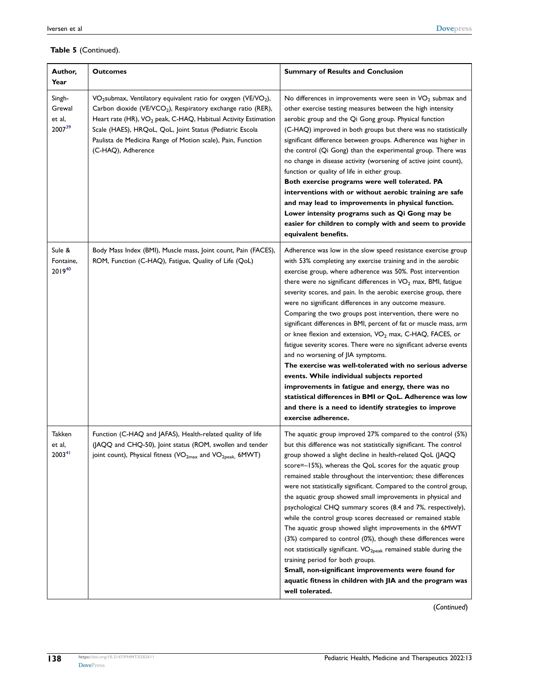| Author,<br>Year                        | <b>Outcomes</b>                                                                                                                                                                                                                                                                                                                                                                                   | <b>Summary of Results and Conclusion</b>                                                                                                                                                                                                                                                                                                                                                                                                                                                                                                                                                                                                                                                                                                                                                                                                                                                                                                                                                                                              |
|----------------------------------------|---------------------------------------------------------------------------------------------------------------------------------------------------------------------------------------------------------------------------------------------------------------------------------------------------------------------------------------------------------------------------------------------------|---------------------------------------------------------------------------------------------------------------------------------------------------------------------------------------------------------------------------------------------------------------------------------------------------------------------------------------------------------------------------------------------------------------------------------------------------------------------------------------------------------------------------------------------------------------------------------------------------------------------------------------------------------------------------------------------------------------------------------------------------------------------------------------------------------------------------------------------------------------------------------------------------------------------------------------------------------------------------------------------------------------------------------------|
| Singh-<br>Grewal<br>et al,<br>200739   | VO <sub>2</sub> submax, Ventilatory equivalent ratio for oxygen (VE/VO <sub>2</sub> ),<br>Carbon dioxide (VE/VCO <sub>2</sub> ), Respiratory exchange ratio (RER),<br>Heart rate (HR), VO <sub>2</sub> peak, C-HAQ, Habitual Activity Estimation<br>Scale (HAES), HRQoL, QoL, Joint Status (Pediatric Escola<br>Paulista de Medicina Range of Motion scale), Pain, Function<br>(C-HAQ), Adherence | No differences in improvements were seen in $VO2$ submax and<br>other exercise testing measures between the high intensity<br>aerobic group and the Qi Gong group. Physical function<br>(C-HAQ) improved in both groups but there was no statistically<br>significant difference between groups. Adherence was higher in<br>the control (Qi Gong) than the experimental group. There was<br>no change in disease activity (worsening of active joint count),<br>function or quality of life in either group.<br>Both exercise programs were well tolerated. PA<br>interventions with or without aerobic training are safe<br>and may lead to improvements in physical function.<br>Lower intensity programs such as Qi Gong may be<br>easier for children to comply with and seem to provide<br>equivalent benefits.                                                                                                                                                                                                                  |
| Sule &<br>Fontaine,<br>$2019^{40}$     | Body Mass Index (BMI), Muscle mass, Joint count, Pain (FACES),<br>ROM, Function (C-HAQ), Fatigue, Quality of Life (QoL)                                                                                                                                                                                                                                                                           | Adherence was low in the slow speed resistance exercise group<br>with 53% completing any exercise training and in the aerobic<br>exercise group, where adherence was 50%. Post intervention<br>there were no significant differences in VO <sub>2</sub> max, BMI, fatigue<br>severity scores, and pain. In the aerobic exercise group, there<br>were no significant differences in any outcome measure.<br>Comparing the two groups post intervention, there were no<br>significant differences in BMI, percent of fat or muscle mass, arm<br>or knee flexion and extension, VO <sub>2</sub> max, C-HAQ, FACES, or<br>fatigue severity scores. There were no significant adverse events<br>and no worsening of JIA symptoms.<br>The exercise was well-tolerated with no serious adverse<br>events. While individual subjects reported<br>improvements in fatigue and energy, there was no<br>statistical differences in BMI or QoL. Adherence was low<br>and there is a need to identify strategies to improve<br>exercise adherence. |
| Takken<br>et al,<br>2003 <sup>41</sup> | Function (C-HAQ and JAFAS), Health-related quality of life<br>(JAQQ and CHQ-50), Joint status (ROM, swollen and tender<br>joint count), Physical fitness (VO <sub>2max</sub> and VO <sub>2peak.</sub> 6MWT)                                                                                                                                                                                       | The aquatic group improved 27% compared to the control (5%)<br>but this difference was not statistically significant. The control<br>group showed a slight decline in health-related QoL (JAQQ<br>score=-15%), whereas the QoL scores for the aquatic group<br>remained stable throughout the intervention; these differences<br>were not statistically significant. Compared to the control group,<br>the aquatic group showed small improvements in physical and<br>psychological CHQ summary scores (8.4 and 7%, respectively),<br>while the control group scores decreased or remained stable<br>The aquatic group showed slight improvements in the 6MWT<br>(3%) compared to control (0%), though these differences were<br>not statistically significant. VO <sub>2peak</sub> remained stable during the<br>training period for both groups.<br>Small, non-significant improvements were found for<br>aquatic fitness in children with JIA and the program was<br>well tolerated.                                               |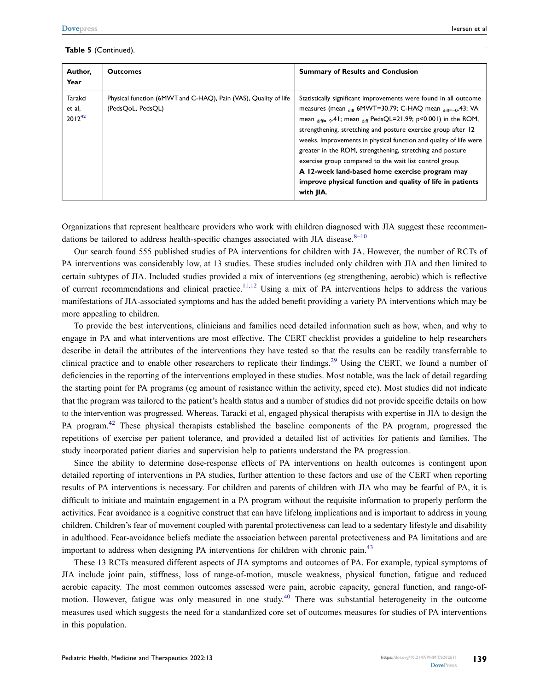| Author,<br>Year                  | <b>Outcomes</b>                                                                      | <b>Summary of Results and Conclusion</b>                                                                                                                                                                                                                                                                                                                                                                                                                                                                                                                                                                       |
|----------------------------------|--------------------------------------------------------------------------------------|----------------------------------------------------------------------------------------------------------------------------------------------------------------------------------------------------------------------------------------------------------------------------------------------------------------------------------------------------------------------------------------------------------------------------------------------------------------------------------------------------------------------------------------------------------------------------------------------------------------|
| Tarakci<br>et al,<br>$2012^{42}$ | Physical function (6MWT and C-HAQ), Pain (VAS), Quality of life<br>(PedsQoL, PedsQL) | Statistically significant improvements were found in all outcome<br>measures (mean $_{diff}$ 6MWT=30.79; C-HAQ mean $_{diff=-0}$ .43; VA<br>mean $_{diff=-9}$ .41; mean $_{diff}$ PedsQL=21.99; p<0.001) in the ROM,<br>strengthening, stretching and posture exercise group after 12<br>weeks. Improvements in physical function and quality of life were<br>greater in the ROM, strengthening, stretching and posture<br>exercise group compared to the wait list control group.<br>A 12-week land-based home exercise program may<br>improve physical function and quality of life in patients<br>with JIA. |

<span id="page-25-0"></span>Organizations that represent healthcare providers who work with children diagnosed with JIA suggest these recommendations be tailored to address health-specific changes associated with JIA disease. $8-10$  $8-10$ 

Our search found 555 published studies of PA interventions for children with JA. However, the number of RCTs of PA interventions was considerably low, at 13 studies. These studies included only children with JIA and then limited to certain subtypes of JIA. Included studies provided a mix of interventions (eg strengthening, aerobic) which is reflective of current recommendations and clinical practice.<sup>11[,12](#page-28-21)</sup> Using a mix of PA interventions helps to address the various manifestations of JIA-associated symptoms and has the added benefit providing a variety PA interventions which may be more appealing to children.

To provide the best interventions, clinicians and families need detailed information such as how, when, and why to engage in PA and what interventions are most effective. The CERT checklist provides a guideline to help researchers describe in detail the attributes of the interventions they have tested so that the results can be readily transferrable to clinical practice and to enable other researchers to replicate their findings[.29](#page-29-3) Using the CERT, we found a number of deficiencies in the reporting of the interventions employed in these studies. Most notable, was the lack of detail regarding the starting point for PA programs (eg amount of resistance within the activity, speed etc). Most studies did not indicate that the program was tailored to the patient's health status and a number of studies did not provide specific details on how to the intervention was progressed. Whereas, Taracki et al, engaged physical therapists with expertise in JIA to design the PA program.[42](#page-29-6) These physical therapists established the baseline components of the PA program, progressed the repetitions of exercise per patient tolerance, and provided a detailed list of activities for patients and families. The study incorporated patient diaries and supervision help to patients understand the PA progression.

Since the ability to determine dose-response effects of PA interventions on health outcomes is contingent upon detailed reporting of interventions in PA studies, further attention to these factors and use of the CERT when reporting results of PA interventions is necessary. For children and parents of children with JIA who may be fearful of PA, it is difficult to initiate and maintain engagement in a PA program without the requisite information to properly perform the activities. Fear avoidance is a cognitive construct that can have lifelong implications and is important to address in young children. Children's fear of movement coupled with parental protectiveness can lead to a sedentary lifestyle and disability in adulthood. Fear-avoidance beliefs mediate the association between parental protectiveness and PA limitations and are important to address when designing PA interventions for children with chronic pain.<sup>[43](#page-29-29)</sup>

<span id="page-25-1"></span>These 13 RCTs measured different aspects of JIA symptoms and outcomes of PA. For example, typical symptoms of JIA include joint pain, stiffness, loss of range-of-motion, muscle weakness, physical function, fatigue and reduced aerobic capacity. The most common outcomes assessed were pain, aerobic capacity, general function, and range-of-motion. However, fatigue was only measured in one study.<sup>[40](#page-29-8)</sup> There was substantial heterogeneity in the outcome measures used which suggests the need for a standardized core set of outcomes measures for studies of PA interventions in this population.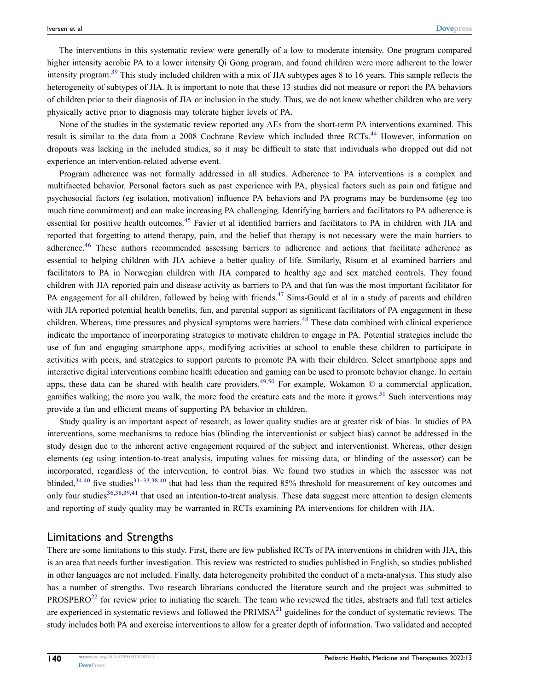The interventions in this systematic review were generally of a low to moderate intensity. One program compared higher intensity aerobic PA to a lower intensity Qi Gong program, and found children were more adherent to the lower intensity program.[39](#page-29-12) This study included children with a mix of JIA subtypes ages 8 to 16 years. This sample reflects the heterogeneity of subtypes of JIA. It is important to note that these 13 studies did not measure or report the PA behaviors of children prior to their diagnosis of JIA or inclusion in the study. Thus, we do not know whether children who are very physically active prior to diagnosis may tolerate higher levels of PA.

<span id="page-26-0"></span>None of the studies in the systematic review reported any AEs from the short-term PA interventions examined. This result is similar to the data from a 2008 Cochrane Review which included three RCTs.[44](#page-29-30) However, information on dropouts was lacking in the included studies, so it may be difficult to state that individuals who dropped out did not experience an intervention-related adverse event.

<span id="page-26-3"></span><span id="page-26-2"></span><span id="page-26-1"></span>Program adherence was not formally addressed in all studies. Adherence to PA interventions is a complex and multifaceted behavior. Personal factors such as past experience with PA, physical factors such as pain and fatigue and psychosocial factors (eg isolation, motivation) influence PA behaviors and PA programs may be burdensome (eg too much time commitment) and can make increasing PA challenging. Identifying barriers and facilitators to PA adherence is essential for positive health outcomes.<sup>45</sup> Favier et al identified barriers and facilitators to PA in children with JIA and reported that forgetting to attend therapy, pain, and the belief that therapy is not necessary were the main barriers to adherence.<sup>46</sup> These authors recommended assessing barriers to adherence and actions that facilitate adherence as essential to helping children with JIA achieve a better quality of life. Similarly, Risum et al examined barriers and facilitators to PA in Norwegian children with JIA compared to healthy age and sex matched controls. They found children with JIA reported pain and disease activity as barriers to PA and that fun was the most important facilitator for PA engagement for all children, followed by being with friends.<sup>47</sup> Sims-Gould et al in a study of parents and children with JIA reported potential health benefits, fun, and parental support as significant facilitators of PA engagement in these children. Whereas, time pressures and physical symptoms were barriers.<sup>[48](#page-29-34)</sup> These data combined with clinical experience indicate the importance of incorporating strategies to motivate children to engage in PA. Potential strategies include the use of fun and engaging smartphone apps, modifying activities at school to enable these children to participate in activities with peers, and strategies to support parents to promote PA with their children. Select smartphone apps and interactive digital interventions combine health education and gaming can be used to promote behavior change. In certain apps, these data can be shared with health care providers.<sup>49,[50](#page-29-36)</sup> For example, Wokamon  $\odot$  a commercial application, gamifies walking; the more you walk, the more food the creature eats and the more it grows.<sup>[51](#page-29-37)</sup> Such interventions may provide a fun and efficient means of supporting PA behavior in children.

<span id="page-26-5"></span><span id="page-26-4"></span>Study quality is an important aspect of research, as lower quality studies are at greater risk of bias. In studies of PA interventions, some mechanisms to reduce bias (blinding the interventionist or subject bias) cannot be addressed in the study design due to the inherent active engagement required of the subject and interventionist. Whereas, other design elements (eg using intention-to-treat analysis, imputing values for missing data, or blinding of the assessor) can be incorporated, regardless of the intervention, to control bias. We found two studies in which the assessor was not blinded, $34,40$  $34,40$  $34,40$  five studies $31-33,38,40$  $31-33,38,40$  $31-33,38,40$  $31-33,38,40$  that had less than the required 85% threshold for measurement of key outcomes and only four studies<sup>[36](#page-29-11)[,38,](#page-29-10)[39,](#page-29-12)[41](#page-29-13)</sup> that used an intention-to-treat analysis. These data suggest more attention to design elements and reporting of study quality may be warranted in RCTs examining PA interventions for children with JIA.

#### Limitations and Strengths

There are some limitations to this study. First, there are few published RCTs of PA interventions in children with JIA, this is an area that needs further investigation. This review was restricted to studies published in English, so studies published in other languages are not included. Finally, data heterogeneity prohibited the conduct of a meta-analysis. This study also has a number of strengths. Two research librarians conducted the literature search and the project was submitted to  $PROSPERO<sup>22</sup>$  $PROSPERO<sup>22</sup>$  $PROSPERO<sup>22</sup>$  for review prior to initiating the search. The team who reviewed the titles, abstracts and full text articles are experienced in systematic reviews and followed the  $PRIMSA<sup>21</sup>$  guidelines for the conduct of systematic reviews. The study includes both PA and exercise interventions to allow for a greater depth of information. Two validated and accepted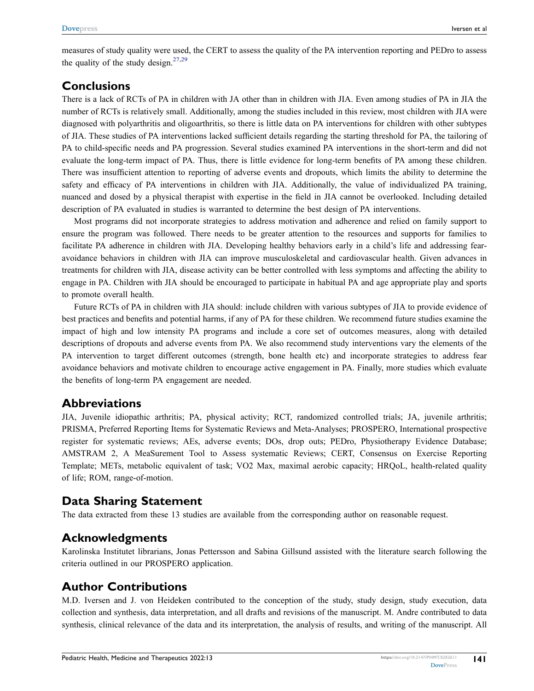measures of study quality were used, the CERT to assess the quality of the PA intervention reporting and PEDro to assess the quality of the study design.<sup>[27,](#page-29-1)[29](#page-29-3)</sup>

#### **Conclusions**

There is a lack of RCTs of PA in children with JA other than in children with JIA. Even among studies of PA in JIA the number of RCTs is relatively small. Additionally, among the studies included in this review, most children with JIA were diagnosed with polyarthritis and oligoarthritis, so there is little data on PA interventions for children with other subtypes of JIA. These studies of PA interventions lacked sufficient details regarding the starting threshold for PA, the tailoring of PA to child-specific needs and PA progression. Several studies examined PA interventions in the short-term and did not evaluate the long-term impact of PA. Thus, there is little evidence for long-term benefits of PA among these children. There was insufficient attention to reporting of adverse events and dropouts, which limits the ability to determine the safety and efficacy of PA interventions in children with JIA. Additionally, the value of individualized PA training, nuanced and dosed by a physical therapist with expertise in the field in JIA cannot be overlooked. Including detailed description of PA evaluated in studies is warranted to determine the best design of PA interventions.

Most programs did not incorporate strategies to address motivation and adherence and relied on family support to ensure the program was followed. There needs to be greater attention to the resources and supports for families to facilitate PA adherence in children with JIA. Developing healthy behaviors early in a child's life and addressing fearavoidance behaviors in children with JIA can improve musculoskeletal and cardiovascular health. Given advances in treatments for children with JIA, disease activity can be better controlled with less symptoms and affecting the ability to engage in PA. Children with JIA should be encouraged to participate in habitual PA and age appropriate play and sports to promote overall health.

Future RCTs of PA in children with JIA should: include children with various subtypes of JIA to provide evidence of best practices and benefits and potential harms, if any of PA for these children. We recommend future studies examine the impact of high and low intensity PA programs and include a core set of outcomes measures, along with detailed descriptions of dropouts and adverse events from PA. We also recommend study interventions vary the elements of the PA intervention to target different outcomes (strength, bone health etc) and incorporate strategies to address fear avoidance behaviors and motivate children to encourage active engagement in PA. Finally, more studies which evaluate the benefits of long-term PA engagement are needed.

#### **Abbreviations**

JIA, Juvenile idiopathic arthritis; PA, physical activity; RCT, randomized controlled trials; JA, juvenile arthritis; PRISMA, Preferred Reporting Items for Systematic Reviews and Meta-Analyses; PROSPERO, International prospective register for systematic reviews; AEs, adverse events; DOs, drop outs; PEDro, Physiotherapy Evidence Database; AMSTRAM 2, A MeaSurement Tool to Assess systematic Reviews; CERT, Consensus on Exercise Reporting Template; METs, metabolic equivalent of task; VO2 Max, maximal aerobic capacity; HRQoL, health-related quality of life; ROM, range-of-motion.

### **Data Sharing Statement**

The data extracted from these 13 studies are available from the corresponding author on reasonable request.

### **Acknowledgments**

Karolinska Institutet librarians, Jonas Pettersson and Sabina Gillsund assisted with the literature search following the criteria outlined in our PROSPERO application.

### **Author Contributions**

M.D. Iversen and J. von Heideken contributed to the conception of the study, study design, study execution, data collection and synthesis, data interpretation, and all drafts and revisions of the manuscript. M. Andre contributed to data synthesis, clinical relevance of the data and its interpretation, the analysis of results, and writing of the manuscript. All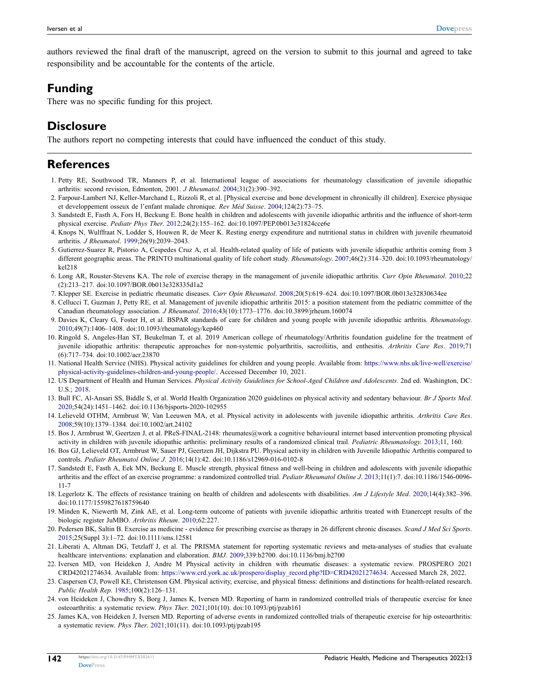<span id="page-28-20"></span>authors reviewed the final draft of the manuscript, agreed on the version to submit to this journal and agreed to take responsibility and be accountable for the contents of the article.

## **Funding**

There was no specific funding for this project.

## **Disclosure**

The authors report no competing interests that could have influenced the conduct of this study.

### **References**

- <span id="page-28-0"></span>1. Petty RE, Southwood TR, Manners P, et al. International league of associations for rheumatology classification of juvenile idiopathic arthritis: second revision, Edmonton, 2001. *J Rheumatol*. [2004;](#page-2-0)31(2):390–392.
- <span id="page-28-9"></span>2. Farpour-Lambert NJ, Keller-Marchand L, Rizzoli R, et al. [Physical exercise and bone development in chronically ill children]. Exercice physique et developpement osseux de l'enfant malade chronique. *Rev Méd Suisse*. [2004](#page-2-1);124(2):73–75.
- <span id="page-28-11"></span>3. Sandstedt E, Fasth A, Fors H, Beckung E. Bone health in children and adolescents with juvenile idiopathic arthritis and the influence of short-term physical exercise. *Pediatr Phys Ther*. [2012](#page-2-2);24(2):155–162. doi:[10.1097/PEP.0b013e31824cce6e](https://doi.org/10.1097/PEP.0b013e31824cce6e)
- 4. Knops N, Wulffraat N, Lodder S, Houwen R, de Meer K. Resting energy expenditure and nutritional status in children with juvenile rheumatoid arthritis. *J Rheumatol*. 1999;26(9):2039–2043.
- <span id="page-28-1"></span>5. Gutierrez-Suarez R, Pistorio A, Cespedes Cruz A, et al. Health-related quality of life of patients with juvenile idiopathic arthritis coming from 3 different geographic areas. The PRINTO multinational quality of life cohort study. *Rheumatology*. 2007;46(2):314–320. doi:[10.1093/rheumatology/](https://doi.org/10.1093/rheumatology/kel218) [kel218](https://doi.org/10.1093/rheumatology/kel218)
- <span id="page-28-2"></span>6. Long AR, Rouster-Stevens KA. The role of exercise therapy in the management of juvenile idiopathic arthritis. *Curr Opin Rheumatol*. [2010](#page-2-3);22 (2):213–217. doi:[10.1097/BOR.0b013e328335d1a2](https://doi.org/10.1097/BOR.0b013e328335d1a2)
- 7. Klepper SE. Exercise in pediatric rheumatic diseases. *Curr Opin Rheumatol*. 2008;20(5):619–624. doi:[10.1097/BOR.0b013e32830634ee](https://doi.org/10.1097/BOR.0b013e32830634ee)
- <span id="page-28-22"></span>8. Cellucci T, Guzman J, Petty RE, et al. Management of juvenile idiopathic arthritis 2015: a position statement from the pediatric committee of the Canadian rheumatology association. *J Rheumatol*. [2016](#page-25-0);43(10):1773–1776. doi:[10.3899/jrheum.160074](https://doi.org/10.3899/jrheum.160074)
- 9. Davies K, Cleary G, Foster H, et al. BSPAR standards of care for children and young people with juvenile idiopathic arthritis. *Rheumatology*. 2010;49(7):1406–1408. doi:[10.1093/rheumatology/kep460](https://doi.org/10.1093/rheumatology/kep460)
- <span id="page-28-3"></span>10. Ringold S, Angeles-Han ST, Beukelman T, et al. 2019 American college of rheumatology/Arthritis foundation guideline for the treatment of juvenile idiopathic arthritis: therapeutic approaches for non-systemic polyarthritis, sacroiliitis, and enthesitis. *Arthritis Care Res*. [2019](#page-2-4);71 (6):717–734. doi:[10.1002/acr.23870](https://doi.org/10.1002/acr.23870)
- <span id="page-28-4"></span>11. National Health Service (NHS). Physical activity guidelines for children and young people. Available from: [https://www.nhs.uk/live-well/exercise/](https://www.nhs.uk/live-well/exercise/physical-activity-guidelines-children-and-young-people/) [physical-activity-guidelines-children-and-young-people/.](https://www.nhs.uk/live-well/exercise/physical-activity-guidelines-children-and-young-people/) Accessed December 10, 2021.
- <span id="page-28-21"></span>12. US Department of Health and Human Services. *Physical Activity Guidelines for School-Aged Children and Adolescents*. 2nd ed. Washington, DC: U.S.; [2018.](#page-15-0)
- <span id="page-28-5"></span>13. Bull FC, Al-Ansari SS, Biddle S, et al. World Health Organization 2020 guidelines on physical activity and sedentary behaviour. *Br J Sports Med*. [2020;](#page-15-0)54(24):1451–1462. doi:[10.1136/bjsports-2020-102955](https://doi.org/10.1136/bjsports-2020-102955)
- <span id="page-28-6"></span>14. Lelieveld OTHM, Armbrust W, Van Leeuwen MA, et al. Physical activity in adolescents with juvenile idiopathic arthritis. *Arthritis Care Res*. [2008;](#page-2-5)59(10):1379–1384. doi:[10.1002/art.24102](https://doi.org/10.1002/art.24102)
- <span id="page-28-7"></span>15. Bos J, Armbrust W, Geertzen J, et al. PReS-FINAL-2148: rheumates@work a cognitive behavioural internet based intervention promoting physical activity in children with juvenile idiopathic arthritis: preliminary results of a randomized clinical trail. *Pediatric Rheumatology*. [2013;](#page-2-6)11, 160.
- <span id="page-28-8"></span>16. Bos GJ, Lelieveld OT, Armbrust W, Sauer PJ, Geertzen JH, Dijkstra PU. Physical activity in children with Juvenile Idiopathic Arthritis compared to controls. *Pediatr Rheumatol Online J*. [2016;](#page-2-7)14(1):42. doi:[10.1186/s12969-016-0102-8](https://doi.org/10.1186/s12969-016-0102-8)
- <span id="page-28-10"></span>17. Sandstedt E, Fasth A, Eek MN, Beckung E. Muscle strength, physical fitness and well-being in children and adolescents with juvenile idiopathic arthritis and the effect of an exercise programme: a randomized controlled trial. *Pediatr Rheumatol Online J*. [2013](#page-2-8);11(1):7. doi:[10.1186/1546-0096-](https://doi.org/10.1186/1546-0096-11-7) [11-7](https://doi.org/10.1186/1546-0096-11-7)
- <span id="page-28-12"></span>18. Legerlotz K. The effects of resistance training on health of children and adolescents with disabilities. *Am J Lifestyle Med*. [2020;](#page-2-9)14(4):382–396. doi:[10.1177/1559827618759640](https://doi.org/10.1177/1559827618759640)
- <span id="page-28-13"></span>19. Minden K, Niewerth M, Zink AE, et al. Long-term outcome of patients with juvenile idiopathic arthritis treated with Etanercept results of the biologic register JuMBO. *Arthritis Rheum*. [2010;](#page-2-10)62:227.
- <span id="page-28-14"></span>20. Pedersen BK, Saltin B. Exercise as medicine - evidence for prescribing exercise as therapy in 26 different chronic diseases. *Scand J Med Sci Sports*. [2015;](#page-2-11)25(Suppl 3):1–72. doi:[10.1111/sms.12581](https://doi.org/10.1111/sms.12581)
- <span id="page-28-15"></span>21. Liberati A, Altman DG, Tetzlaff J, et al. The PRISMA statement for reporting systematic reviews and meta-analyses of studies that evaluate healthcare interventions: explanation and elaboration. *BMJ*. [2009](#page-2-12);339:b2700. doi:[10.1136/bmj.b2700](https://doi.org/10.1136/bmj.b2700)
- <span id="page-28-16"></span>22. Iversen MD, von Heideken J, Andre M Physical activity in children with rheumatic diseases: a systematic review. PROSPERO 2021 CRD42021274634. Available from: [https://www.crd.york.ac.uk/prospero/display\\_record.php?ID=CRD42021274634](https://www.crd.york.ac.uk/prospero/display_record.php?ID=CRD42021274634). Accessed March 28, 2022.
- <span id="page-28-17"></span>23. Caspersen CJ, Powell KE, Christenson GM. Physical activity, exercise, and physical fitness: definitions and distinctions for health-related research. *Public Health Rep*. [1985;](#page-3-0)100(2):126–131.
- <span id="page-28-18"></span>24. von Heideken J, Chowdhry S, Borg J, James K, Iversen MD. Reporting of harm in randomized controlled trials of therapeutic exercise for knee osteoarthritis: a systematic review. *Phys Ther*. [2021](#page-3-1);101(10). doi:[10.1093/ptj/pzab161](https://doi.org/10.1093/ptj/pzab161)
- <span id="page-28-19"></span>25. James KA, von Heideken J, Iversen MD. Reporting of adverse events in randomized controlled trials of therapeutic exercise for hip osteoarthritis: a systematic review. *Phys Ther*. [2021;](#page-3-1)101(11). doi:[10.1093/ptj/pzab195](https://doi.org/10.1093/ptj/pzab195)